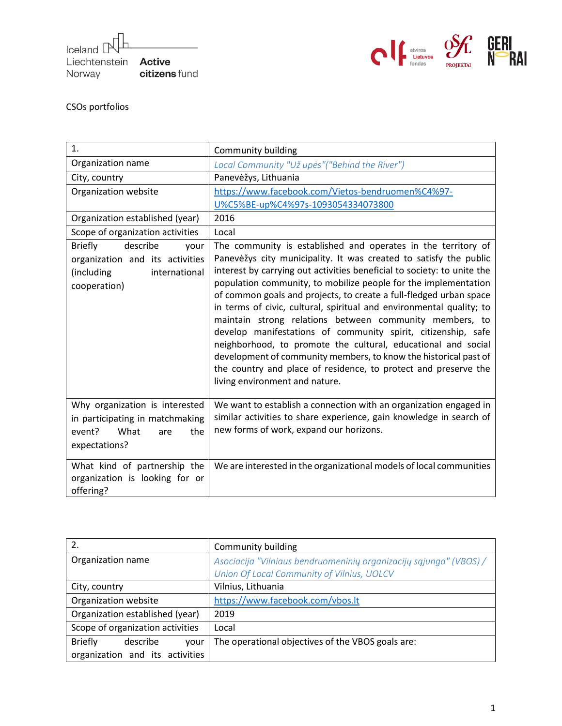Iceland [ Liechtenstein Active citizens fund Norway



## CSOs portfolios

| 1.                                                                                                                   | Community building                                                                                                                                                                                                                                                                                                                                                                                                                                                                                                                                                                                                                                                                                                                                                                                   |
|----------------------------------------------------------------------------------------------------------------------|------------------------------------------------------------------------------------------------------------------------------------------------------------------------------------------------------------------------------------------------------------------------------------------------------------------------------------------------------------------------------------------------------------------------------------------------------------------------------------------------------------------------------------------------------------------------------------------------------------------------------------------------------------------------------------------------------------------------------------------------------------------------------------------------------|
| Organization name                                                                                                    | Local Community "Už upės" ("Behind the River")                                                                                                                                                                                                                                                                                                                                                                                                                                                                                                                                                                                                                                                                                                                                                       |
| City, country                                                                                                        | Panevėžys, Lithuania                                                                                                                                                                                                                                                                                                                                                                                                                                                                                                                                                                                                                                                                                                                                                                                 |
| Organization website                                                                                                 | https://www.facebook.com/Vietos-bendruomen%C4%97-                                                                                                                                                                                                                                                                                                                                                                                                                                                                                                                                                                                                                                                                                                                                                    |
|                                                                                                                      | U%C5%BE-up%C4%97s-1093054334073800                                                                                                                                                                                                                                                                                                                                                                                                                                                                                                                                                                                                                                                                                                                                                                   |
| Organization established (year)                                                                                      | 2016                                                                                                                                                                                                                                                                                                                                                                                                                                                                                                                                                                                                                                                                                                                                                                                                 |
| Scope of organization activities                                                                                     | Local                                                                                                                                                                                                                                                                                                                                                                                                                                                                                                                                                                                                                                                                                                                                                                                                |
| describe<br><b>Briefly</b><br>your<br>organization and its activities<br>international<br>(including<br>cooperation) | The community is established and operates in the territory of<br>Panevėžys city municipality. It was created to satisfy the public<br>interest by carrying out activities beneficial to society: to unite the<br>population community, to mobilize people for the implementation<br>of common goals and projects, to create a full-fledged urban space<br>in terms of civic, cultural, spiritual and environmental quality; to<br>maintain strong relations between community members, to<br>develop manifestations of community spirit, citizenship, safe<br>neighborhood, to promote the cultural, educational and social<br>development of community members, to know the historical past of<br>the country and place of residence, to protect and preserve the<br>living environment and nature. |
| Why organization is interested<br>in participating in matchmaking<br>What<br>event?<br>the<br>are<br>expectations?   | We want to establish a connection with an organization engaged in<br>similar activities to share experience, gain knowledge in search of<br>new forms of work, expand our horizons.                                                                                                                                                                                                                                                                                                                                                                                                                                                                                                                                                                                                                  |
| What kind of partnership the<br>organization is looking for or<br>offering?                                          | We are interested in the organizational models of local communities                                                                                                                                                                                                                                                                                                                                                                                                                                                                                                                                                                                                                                                                                                                                  |

| 2.                                 | Community building                                                 |
|------------------------------------|--------------------------------------------------------------------|
| Organization name                  | Asociacija "Vilniaus bendruomeninių organizacijų sąjunga" (VBOS) / |
|                                    | Union Of Local Community of Vilnius, UOLCV                         |
| City, country                      | Vilnius, Lithuania                                                 |
| Organization website               | https://www.facebook.com/vbos.lt                                   |
| Organization established (year)    | 2019                                                               |
| Scope of organization activities   | Local                                                              |
| <b>Briefly</b><br>describe<br>your | The operational objectives of the VBOS goals are:                  |
| organization and its activities    |                                                                    |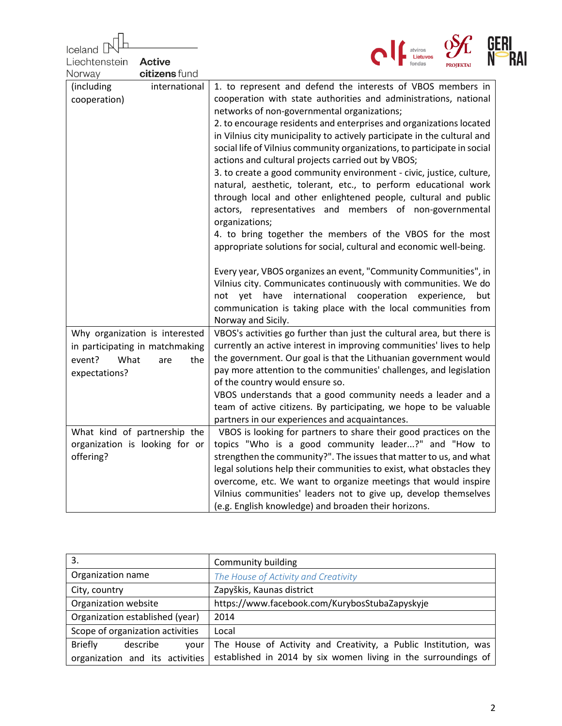| Iceland<br>Liechtenstein<br><b>Active</b> | atviros                                                                                                                                         | RAI |
|-------------------------------------------|-------------------------------------------------------------------------------------------------------------------------------------------------|-----|
| citizens fund<br>Norway                   |                                                                                                                                                 |     |
| international<br>(including               | 1. to represent and defend the interests of VBOS members in                                                                                     |     |
| cooperation)                              | cooperation with state authorities and administrations, national                                                                                |     |
|                                           | networks of non-governmental organizations;                                                                                                     |     |
|                                           | 2. to encourage residents and enterprises and organizations located<br>in Vilnius city municipality to actively participate in the cultural and |     |
|                                           | social life of Vilnius community organizations, to participate in social                                                                        |     |
|                                           | actions and cultural projects carried out by VBOS;                                                                                              |     |
|                                           | 3. to create a good community environment - civic, justice, culture,                                                                            |     |
|                                           | natural, aesthetic, tolerant, etc., to perform educational work                                                                                 |     |
|                                           | through local and other enlightened people, cultural and public                                                                                 |     |
|                                           | actors, representatives and members of non-governmental<br>organizations;                                                                       |     |
|                                           | 4. to bring together the members of the VBOS for the most                                                                                       |     |
|                                           | appropriate solutions for social, cultural and economic well-being.                                                                             |     |
|                                           |                                                                                                                                                 |     |
|                                           | Every year, VBOS organizes an event, "Community Communities", in                                                                                |     |
|                                           | Vilnius city. Communicates continuously with communities. We do                                                                                 |     |
|                                           | international<br>cooperation experience,<br>not yet have<br>but<br>communication is taking place with the local communities from                |     |
|                                           | Norway and Sicily.                                                                                                                              |     |
| Why organization is interested            | VBOS's activities go further than just the cultural area, but there is                                                                          |     |
| in participating in matchmaking           | currently an active interest in improving communities' lives to help                                                                            |     |
| What<br>event?<br>are<br>the              | the government. Our goal is that the Lithuanian government would                                                                                |     |
| expectations?                             | pay more attention to the communities' challenges, and legislation<br>of the country would ensure so.                                           |     |
|                                           | VBOS understands that a good community needs a leader and a                                                                                     |     |
|                                           | team of active citizens. By participating, we hope to be valuable                                                                               |     |
|                                           | partners in our experiences and acquaintances.                                                                                                  |     |
| What kind of partnership the              | VBOS is looking for partners to share their good practices on the                                                                               |     |
| organization is looking for or            | topics "Who is a good community leader?" and "How to                                                                                            |     |
| offering?                                 | strengthen the community?". The issues that matter to us, and what<br>legal solutions help their communities to exist, what obstacles they      |     |
|                                           | overcome, etc. We want to organize meetings that would inspire                                                                                  |     |
|                                           | Vilnius communities' leaders not to give up, develop themselves                                                                                 |     |
|                                           | (e.g. English knowledge) and broaden their horizons.                                                                                            |     |

| 3.                                 | Community building                                              |
|------------------------------------|-----------------------------------------------------------------|
| Organization name                  | The House of Activity and Creativity                            |
| City, country                      | Zapyškis, Kaunas district                                       |
| Organization website               | https://www.facebook.com/KurybosStubaZapyskyje                  |
| Organization established (year)    | 2014                                                            |
| Scope of organization activities   | Local                                                           |
| <b>Briefly</b><br>describe<br>vour | The House of Activity and Creativity, a Public Institution, was |
| organization and its activities    | established in 2014 by six women living in the surroundings of  |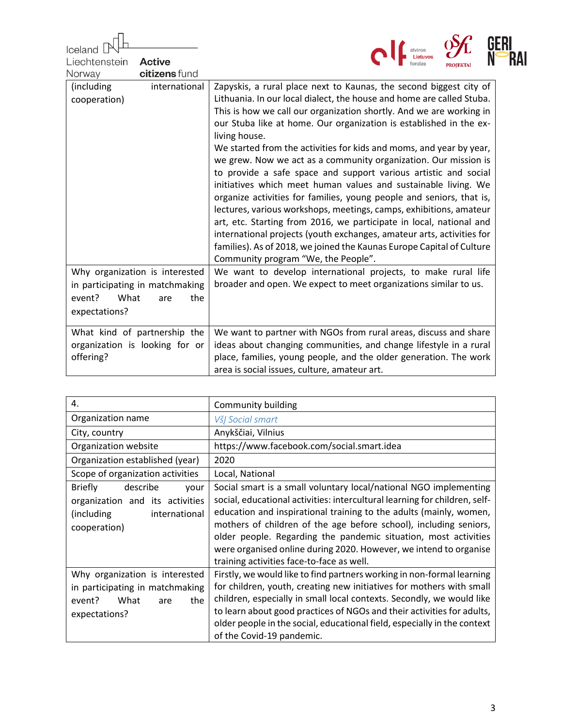| Iceland                                                                        |                                                                                                                                                                                                                                                                                                                                                                                                                                                                                                                                                                                                                                                                                                                                                                                                                                                                                                                                                                                                                                                                         |
|--------------------------------------------------------------------------------|-------------------------------------------------------------------------------------------------------------------------------------------------------------------------------------------------------------------------------------------------------------------------------------------------------------------------------------------------------------------------------------------------------------------------------------------------------------------------------------------------------------------------------------------------------------------------------------------------------------------------------------------------------------------------------------------------------------------------------------------------------------------------------------------------------------------------------------------------------------------------------------------------------------------------------------------------------------------------------------------------------------------------------------------------------------------------|
| Liechtenstein<br><b>Active</b>                                                 |                                                                                                                                                                                                                                                                                                                                                                                                                                                                                                                                                                                                                                                                                                                                                                                                                                                                                                                                                                                                                                                                         |
| citizens fund<br>Norway                                                        |                                                                                                                                                                                                                                                                                                                                                                                                                                                                                                                                                                                                                                                                                                                                                                                                                                                                                                                                                                                                                                                                         |
| international<br>(including)<br>cooperation)<br>Why organization is interested | Zapyskis, a rural place next to Kaunas, the second biggest city of<br>Lithuania. In our local dialect, the house and home are called Stuba.<br>This is how we call our organization shortly. And we are working in<br>our Stuba like at home. Our organization is established in the ex-<br>living house.<br>We started from the activities for kids and moms, and year by year,<br>we grew. Now we act as a community organization. Our mission is<br>to provide a safe space and support various artistic and social<br>initiatives which meet human values and sustainable living. We<br>organize activities for families, young people and seniors, that is,<br>lectures, various workshops, meetings, camps, exhibitions, amateur<br>art, etc. Starting from 2016, we participate in local, national and<br>international projects (youth exchanges, amateur arts, activities for<br>families). As of 2018, we joined the Kaunas Europe Capital of Culture<br>Community program "We, the People".<br>We want to develop international projects, to make rural life |
|                                                                                | broader and open. We expect to meet organizations similar to us.                                                                                                                                                                                                                                                                                                                                                                                                                                                                                                                                                                                                                                                                                                                                                                                                                                                                                                                                                                                                        |
| in participating in matchmaking                                                |                                                                                                                                                                                                                                                                                                                                                                                                                                                                                                                                                                                                                                                                                                                                                                                                                                                                                                                                                                                                                                                                         |
| event?<br>What<br>the<br>are                                                   |                                                                                                                                                                                                                                                                                                                                                                                                                                                                                                                                                                                                                                                                                                                                                                                                                                                                                                                                                                                                                                                                         |
| expectations?                                                                  |                                                                                                                                                                                                                                                                                                                                                                                                                                                                                                                                                                                                                                                                                                                                                                                                                                                                                                                                                                                                                                                                         |
| What kind of partnership the<br>organization is looking for or<br>offering?    | We want to partner with NGOs from rural areas, discuss and share<br>ideas about changing communities, and change lifestyle in a rural<br>place, families, young people, and the older generation. The work<br>area is social issues, culture, amateur art.                                                                                                                                                                                                                                                                                                                                                                                                                                                                                                                                                                                                                                                                                                                                                                                                              |

| 4.                                                                                                                    | Community building                                                                                                                                                                                                                                                                                                                                                                                                                                                              |
|-----------------------------------------------------------------------------------------------------------------------|---------------------------------------------------------------------------------------------------------------------------------------------------------------------------------------------------------------------------------------------------------------------------------------------------------------------------------------------------------------------------------------------------------------------------------------------------------------------------------|
| Organization name                                                                                                     | VšJ Social smart                                                                                                                                                                                                                                                                                                                                                                                                                                                                |
| City, country                                                                                                         | Anykščiai, Vilnius                                                                                                                                                                                                                                                                                                                                                                                                                                                              |
| Organization website                                                                                                  | https://www.facebook.com/social.smart.idea                                                                                                                                                                                                                                                                                                                                                                                                                                      |
| Organization established (year)                                                                                       | 2020                                                                                                                                                                                                                                                                                                                                                                                                                                                                            |
| Scope of organization activities                                                                                      | Local, National                                                                                                                                                                                                                                                                                                                                                                                                                                                                 |
| describe<br><b>Briefly</b><br>your<br>organization and its activities<br>(including)<br>international<br>cooperation) | Social smart is a small voluntary local/national NGO implementing<br>social, educational activities: intercultural learning for children, self-<br>education and inspirational training to the adults (mainly, women,<br>mothers of children of the age before school), including seniors,<br>older people. Regarding the pandemic situation, most activities<br>were organised online during 2020. However, we intend to organise<br>training activities face-to-face as well. |
| Why organization is interested<br>in participating in matchmaking<br>What<br>event?<br>the<br>are<br>expectations?    | Firstly, we would like to find partners working in non-formal learning<br>for children, youth, creating new initiatives for mothers with small<br>children, especially in small local contexts. Secondly, we would like<br>to learn about good practices of NGOs and their activities for adults,<br>older people in the social, educational field, especially in the context<br>of the Covid-19 pandemic.                                                                      |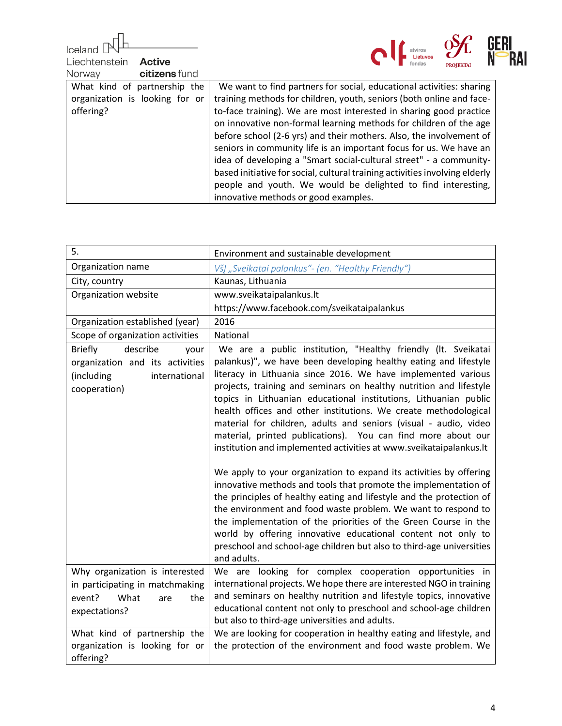| Iceland                        |                                                                             |  |
|--------------------------------|-----------------------------------------------------------------------------|--|
| Liechtenstein<br><b>Active</b> |                                                                             |  |
| citizens fund<br>Norway        |                                                                             |  |
| What kind of partnership the   | We want to find partners for social, educational activities: sharing        |  |
| organization is looking for or | training methods for children, youth, seniors (both online and face-        |  |
| offering?                      | to-face training). We are most interested in sharing good practice          |  |
|                                | on innovative non-formal learning methods for children of the age           |  |
|                                | before school (2-6 yrs) and their mothers. Also, the involvement of         |  |
|                                | seniors in community life is an important focus for us. We have an          |  |
|                                | idea of developing a "Smart social-cultural street" - a community-          |  |
|                                | based initiative for social, cultural training activities involving elderly |  |
|                                | people and youth. We would be delighted to find interesting,                |  |
|                                | innovative methods or good examples.                                        |  |

| 5.                                                                                                                   | Environment and sustainable development                                                                                                                                                                                                                                                                                                                                                                                                                                                                                                                                                                                                                                                                                                                                                                                                                                                                                                                                                                                                                                                                                               |
|----------------------------------------------------------------------------------------------------------------------|---------------------------------------------------------------------------------------------------------------------------------------------------------------------------------------------------------------------------------------------------------------------------------------------------------------------------------------------------------------------------------------------------------------------------------------------------------------------------------------------------------------------------------------------------------------------------------------------------------------------------------------------------------------------------------------------------------------------------------------------------------------------------------------------------------------------------------------------------------------------------------------------------------------------------------------------------------------------------------------------------------------------------------------------------------------------------------------------------------------------------------------|
| Organization name                                                                                                    | VšĮ "Sveikatai palankus"- (en. "Healthy Friendly")                                                                                                                                                                                                                                                                                                                                                                                                                                                                                                                                                                                                                                                                                                                                                                                                                                                                                                                                                                                                                                                                                    |
| City, country                                                                                                        | Kaunas, Lithuania                                                                                                                                                                                                                                                                                                                                                                                                                                                                                                                                                                                                                                                                                                                                                                                                                                                                                                                                                                                                                                                                                                                     |
| Organization website                                                                                                 | www.sveikataipalankus.lt                                                                                                                                                                                                                                                                                                                                                                                                                                                                                                                                                                                                                                                                                                                                                                                                                                                                                                                                                                                                                                                                                                              |
|                                                                                                                      | https://www.facebook.com/sveikataipalankus                                                                                                                                                                                                                                                                                                                                                                                                                                                                                                                                                                                                                                                                                                                                                                                                                                                                                                                                                                                                                                                                                            |
| Organization established (year)                                                                                      | 2016                                                                                                                                                                                                                                                                                                                                                                                                                                                                                                                                                                                                                                                                                                                                                                                                                                                                                                                                                                                                                                                                                                                                  |
| Scope of organization activities                                                                                     | National                                                                                                                                                                                                                                                                                                                                                                                                                                                                                                                                                                                                                                                                                                                                                                                                                                                                                                                                                                                                                                                                                                                              |
| describe<br><b>Briefly</b><br>your<br>organization and its activities<br>(including<br>international<br>cooperation) | We are a public institution, "Healthy friendly (It. Sveikatai<br>palankus)", we have been developing healthy eating and lifestyle<br>literacy in Lithuania since 2016. We have implemented various<br>projects, training and seminars on healthy nutrition and lifestyle<br>topics in Lithuanian educational institutions, Lithuanian public<br>health offices and other institutions. We create methodological<br>material for children, adults and seniors (visual - audio, video<br>material, printed publications). You can find more about our<br>institution and implemented activities at www.sveikataipalankus.lt<br>We apply to your organization to expand its activities by offering<br>innovative methods and tools that promote the implementation of<br>the principles of healthy eating and lifestyle and the protection of<br>the environment and food waste problem. We want to respond to<br>the implementation of the priorities of the Green Course in the<br>world by offering innovative educational content not only to<br>preschool and school-age children but also to third-age universities<br>and adults. |
| Why organization is interested<br>in participating in matchmaking<br>What<br>event?<br>the<br>are<br>expectations?   | We are looking for complex cooperation opportunities in<br>international projects. We hope there are interested NGO in training<br>and seminars on healthy nutrition and lifestyle topics, innovative<br>educational content not only to preschool and school-age children<br>but also to third-age universities and adults.                                                                                                                                                                                                                                                                                                                                                                                                                                                                                                                                                                                                                                                                                                                                                                                                          |
| What kind of partnership the<br>organization is looking for or<br>offering?                                          | We are looking for cooperation in healthy eating and lifestyle, and<br>the protection of the environment and food waste problem. We                                                                                                                                                                                                                                                                                                                                                                                                                                                                                                                                                                                                                                                                                                                                                                                                                                                                                                                                                                                                   |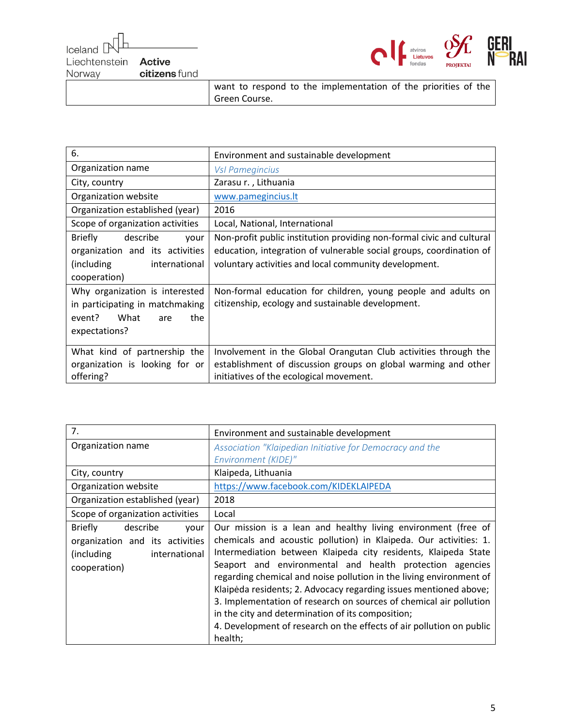| celand pull                 |               |
|-----------------------------|---------------|
|                             |               |
| Liechtenstein <b>Active</b> |               |
| Norway                      | citizens fund |
|                             |               |



want to respond to the implementation of the priorities of the Green Course.

| 6.                                 | Environment and sustainable development                               |
|------------------------------------|-----------------------------------------------------------------------|
| Organization name                  | <b>Vsl Pamegincius</b>                                                |
| City, country                      | Zarasu r., Lithuania                                                  |
| Organization website               | www.pamegincius.lt                                                    |
| Organization established (year)    | 2016                                                                  |
| Scope of organization activities   | Local, National, International                                        |
| <b>Briefly</b><br>describe<br>your | Non-profit public institution providing non-formal civic and cultural |
| organization and its activities    | education, integration of vulnerable social groups, coordination of   |
| (including<br>international        | voluntary activities and local community development.                 |
| cooperation)                       |                                                                       |
| Why organization is interested     | Non-formal education for children, young people and adults on         |
| in participating in matchmaking    | citizenship, ecology and sustainable development.                     |
| What<br>event?<br>the<br>are       |                                                                       |
| expectations?                      |                                                                       |
|                                    |                                                                       |
| What kind of partnership the       | Involvement in the Global Orangutan Club activities through the       |
| organization is looking for or     | establishment of discussion groups on global warming and other        |
| offering?                          | initiatives of the ecological movement.                               |

| 7.                                 | Environment and sustainable development                              |
|------------------------------------|----------------------------------------------------------------------|
| Organization name                  | Association "Klaipedian Initiative for Democracy and the             |
|                                    | Environment (KIDE)"                                                  |
| City, country                      | Klaipeda, Lithuania                                                  |
| Organization website               | https://www.facebook.com/KIDEKLAIPEDA                                |
| Organization established (year)    | 2018                                                                 |
| Scope of organization activities   | Local                                                                |
| <b>Briefly</b><br>describe<br>your | Our mission is a lean and healthy living environment (free of        |
| organization and its activities    | chemicals and acoustic pollution) in Klaipeda. Our activities: 1.    |
| (including<br>international        | Intermediation between Klaipeda city residents, Klaipeda State       |
| cooperation)                       | Seaport and environmental and health protection agencies             |
|                                    | regarding chemical and noise pollution in the living environment of  |
|                                    | Klaipėda residents; 2. Advocacy regarding issues mentioned above;    |
|                                    | 3. Implementation of research on sources of chemical air pollution   |
|                                    | in the city and determination of its composition;                    |
|                                    | 4. Development of research on the effects of air pollution on public |
|                                    | health;                                                              |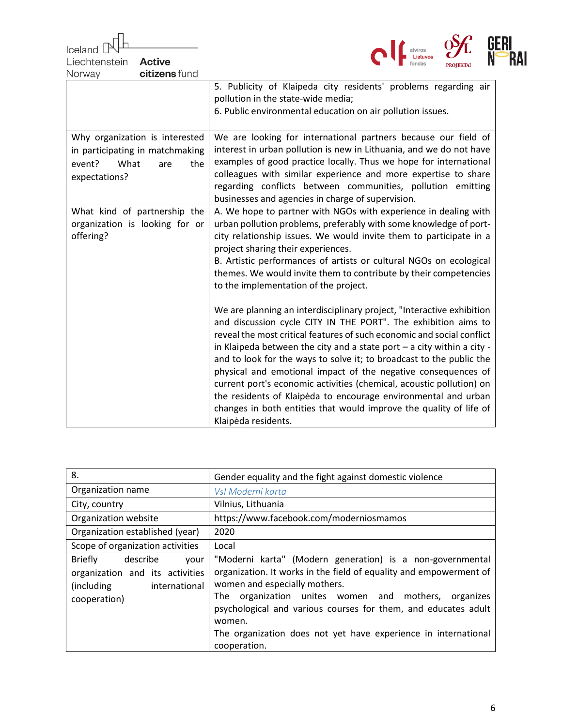**Iceland** atviros<br>**Lietuvos** Liechtenstein **Active** citizens fund Norway 5. Publicity of Klaipeda city residents' problems regarding air pollution in the state-wide media; 6. Public environmental education on air pollution issues. Why organization is interested We are looking for international partners because our field of in participating in matchmaking interest in urban pollution is new in Lithuania, and we do not have examples of good practice locally. Thus we hope for international event? What are the colleagues with similar experience and more expertise to share expectations? regarding conflicts between communities, pollution emitting businesses and agencies in charge of supervision. A. We hope to partner with NGOs with experience in dealing with What kind of partnership the organization is looking for or urban pollution problems, preferably with some knowledge of portoffering? city relationship issues. We would invite them to participate in a project sharing their experiences. B. Artistic performances of artists or cultural NGOs on ecological themes. We would invite them to contribute by their competencies to the implementation of the project. We are planning an interdisciplinary project, "Interactive exhibition and discussion cycle CITY IN THE PORT". The exhibition aims to reveal the most critical features of such economic and social conflict in Klaipeda between the city and a state port – a city within a city and to look for the ways to solve it; to broadcast to the public the physical and emotional impact of the negative consequences of current port's economic activities (chemical, acoustic pollution) on the residents of Klaipėda to encourage environmental and urban changes in both entities that would improve the quality of life of Klaipėda residents.

| 8.                                                                                                                    | Gender equality and the fight against domestic violence                                                                                                                                                                                                                                                                                                                                   |
|-----------------------------------------------------------------------------------------------------------------------|-------------------------------------------------------------------------------------------------------------------------------------------------------------------------------------------------------------------------------------------------------------------------------------------------------------------------------------------------------------------------------------------|
| Organization name                                                                                                     | Vsl Moderni karta                                                                                                                                                                                                                                                                                                                                                                         |
| City, country                                                                                                         | Vilnius, Lithuania                                                                                                                                                                                                                                                                                                                                                                        |
| Organization website                                                                                                  | https://www.facebook.com/moderniosmamos                                                                                                                                                                                                                                                                                                                                                   |
| Organization established (year)                                                                                       | 2020                                                                                                                                                                                                                                                                                                                                                                                      |
| Scope of organization activities                                                                                      | Local                                                                                                                                                                                                                                                                                                                                                                                     |
| <b>Briefly</b><br>describe<br>vour<br>organization and its activities<br>(including)<br>international<br>cooperation) | "Moderni karta" (Modern generation) is a non-governmental<br>organization. It works in the field of equality and empowerment of<br>women and especially mothers.<br>organization unites women and mothers, organizes<br>The<br>psychological and various courses for them, and educates adult<br>women.<br>The organization does not yet have experience in international<br>cooperation. |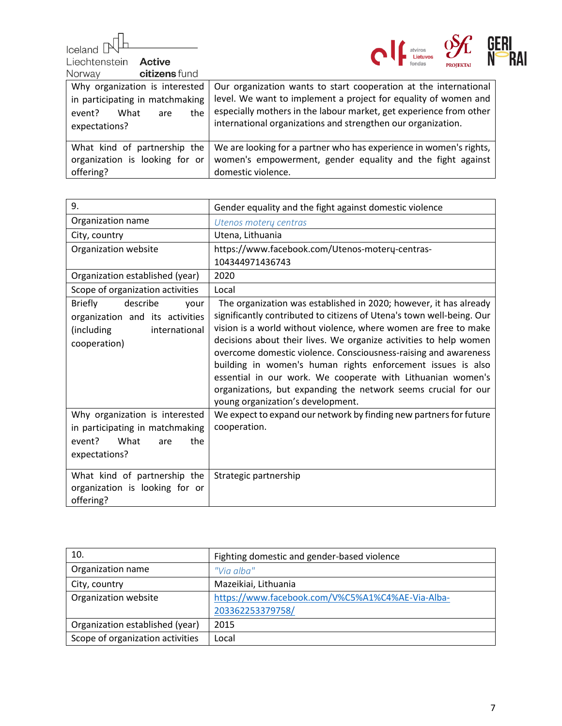пĪ Iceland  $\mathbb P$ 

Liechtenstein **Active** 



Norway citizens fund

| INUI WAV<br>GILIZENS IUNU                                                                                          |                                                                                                                                                                                                                                                                           |
|--------------------------------------------------------------------------------------------------------------------|---------------------------------------------------------------------------------------------------------------------------------------------------------------------------------------------------------------------------------------------------------------------------|
| Why organization is interested<br>in participating in matchmaking<br>What<br>the<br>event?<br>are<br>expectations? | Our organization wants to start cooperation at the international<br>level. We want to implement a project for equality of women and<br>especially mothers in the labour market, get experience from other<br>international organizations and strengthen our organization. |
| What kind of partnership the<br>organization is looking for or<br>offering?                                        | We are looking for a partner who has experience in women's rights,<br>women's empowerment, gender equality and the fight against<br>domestic violence.                                                                                                                    |

| 9.                                                                                                                   | Gender equality and the fight against domestic violence                                                                                                                                                                                                                                                                                                                                                                                                                                                                                                                                     |
|----------------------------------------------------------------------------------------------------------------------|---------------------------------------------------------------------------------------------------------------------------------------------------------------------------------------------------------------------------------------------------------------------------------------------------------------------------------------------------------------------------------------------------------------------------------------------------------------------------------------------------------------------------------------------------------------------------------------------|
| Organization name                                                                                                    | Utenos moterų centras                                                                                                                                                                                                                                                                                                                                                                                                                                                                                                                                                                       |
| City, country                                                                                                        | Utena, Lithuania                                                                                                                                                                                                                                                                                                                                                                                                                                                                                                                                                                            |
| Organization website                                                                                                 | https://www.facebook.com/Utenos-motery-centras-                                                                                                                                                                                                                                                                                                                                                                                                                                                                                                                                             |
|                                                                                                                      | 104344971436743                                                                                                                                                                                                                                                                                                                                                                                                                                                                                                                                                                             |
| Organization established (year)                                                                                      | 2020                                                                                                                                                                                                                                                                                                                                                                                                                                                                                                                                                                                        |
| Scope of organization activities                                                                                     | Local                                                                                                                                                                                                                                                                                                                                                                                                                                                                                                                                                                                       |
| describe<br><b>Briefly</b><br>your<br>organization and its activities<br>(including<br>international<br>cooperation) | The organization was established in 2020; however, it has already<br>significantly contributed to citizens of Utena's town well-being. Our<br>vision is a world without violence, where women are free to make<br>decisions about their lives. We organize activities to help women<br>overcome domestic violence. Consciousness-raising and awareness<br>building in women's human rights enforcement issues is also<br>essential in our work. We cooperate with Lithuanian women's<br>organizations, but expanding the network seems crucial for our<br>young organization's development. |
| Why organization is interested<br>in participating in matchmaking<br>What<br>event?<br>the<br>are<br>expectations?   | We expect to expand our network by finding new partners for future<br>cooperation.                                                                                                                                                                                                                                                                                                                                                                                                                                                                                                          |
| What kind of partnership the<br>organization is looking for or<br>offering?                                          | Strategic partnership                                                                                                                                                                                                                                                                                                                                                                                                                                                                                                                                                                       |

| 10.                              | Fighting domestic and gender-based violence      |
|----------------------------------|--------------------------------------------------|
| Organization name                | "Via alba"                                       |
| City, country                    | Mazeikiai, Lithuania                             |
| Organization website             | https://www.facebook.com/V%C5%A1%C4%AE-Via-Alba- |
|                                  | 203362253379758/                                 |
| Organization established (year)  | 2015                                             |
| Scope of organization activities | Local                                            |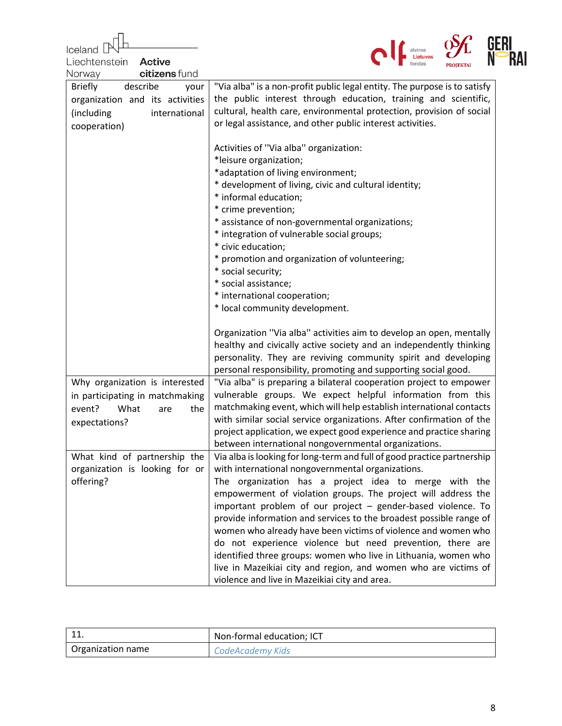| Iceland                                     |                                                                                                                              |
|---------------------------------------------|------------------------------------------------------------------------------------------------------------------------------|
| Liechtenstein<br><b>Active</b>              |                                                                                                                              |
| citizens fund<br>Norway                     |                                                                                                                              |
| describe<br><b>Briefly</b><br>your          | "Via alba" is a non-profit public legal entity. The purpose is to satisfy                                                    |
| organization and its activities             | the public interest through education, training and scientific,                                                              |
| (including<br>international                 | cultural, health care, environmental protection, provision of social                                                         |
| cooperation)                                | or legal assistance, and other public interest activities.                                                                   |
|                                             |                                                                                                                              |
|                                             | Activities of "Via alba" organization:                                                                                       |
|                                             | *leisure organization;                                                                                                       |
|                                             | *adaptation of living environment;                                                                                           |
|                                             | * development of living, civic and cultural identity;<br>* informal education;                                               |
|                                             | * crime prevention;                                                                                                          |
|                                             | * assistance of non-governmental organizations;                                                                              |
|                                             | * integration of vulnerable social groups;                                                                                   |
|                                             | * civic education;                                                                                                           |
|                                             | * promotion and organization of volunteering;                                                                                |
|                                             | * social security;                                                                                                           |
|                                             | * social assistance;                                                                                                         |
|                                             | * international cooperation;                                                                                                 |
|                                             | * local community development.                                                                                               |
|                                             | Organization "Via alba" activities aim to develop an open, mentally                                                          |
|                                             | healthy and civically active society and an independently thinking                                                           |
|                                             | personality. They are reviving community spirit and developing                                                               |
|                                             | personal responsibility, promoting and supporting social good.                                                               |
| Why organization is interested              | "Via alba" is preparing a bilateral cooperation project to empower                                                           |
| in participating in matchmaking             | vulnerable groups. We expect helpful information from this                                                                   |
| event?<br>What<br>the<br>are                | matchmaking event, which will help establish international contacts                                                          |
| expectations?                               | with similar social service organizations. After confirmation of the                                                         |
|                                             | project application, we expect good experience and practice sharing                                                          |
|                                             | between international nongovernmental organizations.                                                                         |
| What kind of partnership the                | Via alba is looking for long-term and full of good practice partnership<br>with international nongovernmental organizations. |
| organization is looking for or<br>offering? | The organization has a project idea to merge with the                                                                        |
|                                             | empowerment of violation groups. The project will address the                                                                |
|                                             | important problem of our project - gender-based violence. To                                                                 |
|                                             | provide information and services to the broadest possible range of                                                           |
|                                             | women who already have been victims of violence and women who                                                                |
|                                             | do not experience violence but need prevention, there are                                                                    |
|                                             | identified three groups: women who live in Lithuania, women who                                                              |
|                                             | live in Mazeikiai city and region, and women who are victims of                                                              |
|                                             | violence and live in Mazeikiai city and area.                                                                                |

| $-11$<br>ᅩᆚ       | Non-formal education; ICT |
|-------------------|---------------------------|
| Organization name | CodeAcademy Kids          |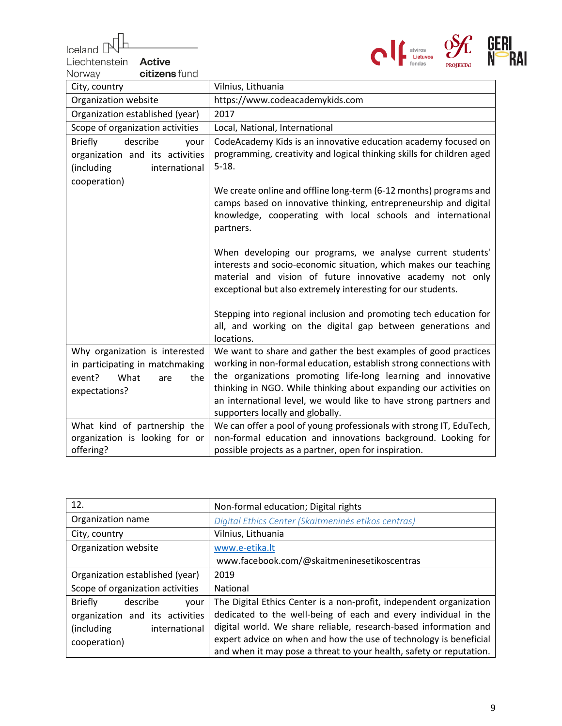$\begin{array}{c} \text{Ideal} \\ \text{Liechtenstein} \end{array}$ 

Liechtenstein **Active** 



| citizens fund<br>Norway                                                                                            |                                                                                                                                                                                                                                                                                                                                                                                      |
|--------------------------------------------------------------------------------------------------------------------|--------------------------------------------------------------------------------------------------------------------------------------------------------------------------------------------------------------------------------------------------------------------------------------------------------------------------------------------------------------------------------------|
| City, country                                                                                                      | Vilnius, Lithuania                                                                                                                                                                                                                                                                                                                                                                   |
| Organization website                                                                                               | https://www.codeacademykids.com                                                                                                                                                                                                                                                                                                                                                      |
| Organization established (year)                                                                                    | 2017                                                                                                                                                                                                                                                                                                                                                                                 |
| Scope of organization activities                                                                                   | Local, National, International                                                                                                                                                                                                                                                                                                                                                       |
| describe<br><b>Briefly</b><br>your<br>organization and its activities<br>(including<br>international               | CodeAcademy Kids is an innovative education academy focused on<br>programming, creativity and logical thinking skills for children aged<br>$5-18.$                                                                                                                                                                                                                                   |
| cooperation)                                                                                                       | We create online and offline long-term (6-12 months) programs and<br>camps based on innovative thinking, entrepreneurship and digital<br>knowledge, cooperating with local schools and international<br>partners.                                                                                                                                                                    |
|                                                                                                                    | When developing our programs, we analyse current students'<br>interests and socio-economic situation, which makes our teaching<br>material and vision of future innovative academy not only<br>exceptional but also extremely interesting for our students.                                                                                                                          |
|                                                                                                                    | Stepping into regional inclusion and promoting tech education for<br>all, and working on the digital gap between generations and<br>locations.                                                                                                                                                                                                                                       |
| Why organization is interested<br>in participating in matchmaking<br>event?<br>What<br>the<br>are<br>expectations? | We want to share and gather the best examples of good practices<br>working in non-formal education, establish strong connections with<br>the organizations promoting life-long learning and innovative<br>thinking in NGO. While thinking about expanding our activities on<br>an international level, we would like to have strong partners and<br>supporters locally and globally. |
| What kind of partnership the<br>organization is looking for or<br>offering?                                        | We can offer a pool of young professionals with strong IT, EduTech,<br>non-formal education and innovations background. Looking for<br>possible projects as a partner, open for inspiration.                                                                                                                                                                                         |

| 12.                                | Non-formal education; Digital rights                                |
|------------------------------------|---------------------------------------------------------------------|
| Organization name                  | Digital Ethics Center (Skaitmeninės etikos centras)                 |
| City, country                      | Vilnius, Lithuania                                                  |
| Organization website               | www.e-etika.lt                                                      |
|                                    | www.facebook.com/@skaitmeninesetikoscentras                         |
| Organization established (year)    | 2019                                                                |
| Scope of organization activities   | National                                                            |
| <b>Briefly</b><br>describe<br>vour | The Digital Ethics Center is a non-profit, independent organization |
| organization and its activities    | dedicated to the well-being of each and every individual in the     |
| (including<br>international        | digital world. We share reliable, research-based information and    |
| cooperation)                       | expert advice on when and how the use of technology is beneficial   |
|                                    | and when it may pose a threat to your health, safety or reputation. |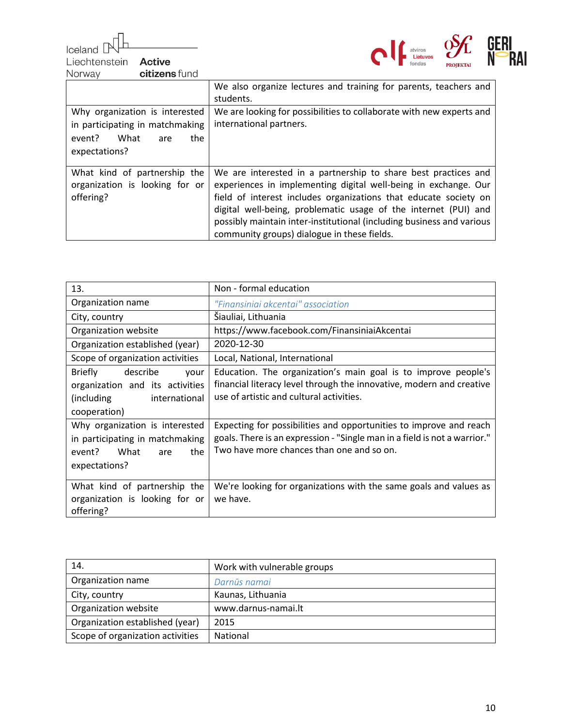Iceland Liechtenstein



Active citizens fund Norway

|                                                                                                                    | We also organize lectures and training for parents, teachers and<br>students.                                                                                                                                                                                                                                                                                                                    |
|--------------------------------------------------------------------------------------------------------------------|--------------------------------------------------------------------------------------------------------------------------------------------------------------------------------------------------------------------------------------------------------------------------------------------------------------------------------------------------------------------------------------------------|
| Why organization is interested<br>in participating in matchmaking<br>the<br>event?<br>What<br>are<br>expectations? | We are looking for possibilities to collaborate with new experts and<br>international partners.                                                                                                                                                                                                                                                                                                  |
| What kind of partnership the<br>organization is looking for or<br>offering?                                        | We are interested in a partnership to share best practices and<br>experiences in implementing digital well-being in exchange. Our<br>field of interest includes organizations that educate society on<br>digital well-being, problematic usage of the internet (PUI) and<br>possibly maintain inter-institutional (including business and various<br>community groups) dialogue in these fields. |

| 13.                                                                                                                   | Non - formal education                                                                                                                                                                       |
|-----------------------------------------------------------------------------------------------------------------------|----------------------------------------------------------------------------------------------------------------------------------------------------------------------------------------------|
| Organization name                                                                                                     | "Finansiniai akcentai" association                                                                                                                                                           |
| City, country                                                                                                         | Siauliai, Lithuania                                                                                                                                                                          |
| Organization website                                                                                                  | https://www.facebook.com/FinansiniaiAkcentai                                                                                                                                                 |
| Organization established (year)                                                                                       | 2020-12-30                                                                                                                                                                                   |
| Scope of organization activities                                                                                      | Local, National, International                                                                                                                                                               |
| describe<br><b>Briefly</b><br>your<br>organization and its activities<br>(including)<br>international<br>cooperation) | Education. The organization's main goal is to improve people's<br>financial literacy level through the innovative, modern and creative<br>use of artistic and cultural activities.           |
| Why organization is interested<br>in participating in matchmaking<br>What<br>event?<br>the<br>are<br>expectations?    | Expecting for possibilities and opportunities to improve and reach<br>goals. There is an expression - "Single man in a field is not a warrior."<br>Two have more chances than one and so on. |
| What kind of partnership the<br>organization is looking for or<br>offering?                                           | We're looking for organizations with the same goals and values as<br>we have.                                                                                                                |

| 14.                              | Work with vulnerable groups |
|----------------------------------|-----------------------------|
| Organization name                | Darnūs namai                |
| City, country                    | Kaunas, Lithuania           |
| Organization website             | www.darnus-namai.lt         |
| Organization established (year)  | 2015                        |
| Scope of organization activities | <b>National</b>             |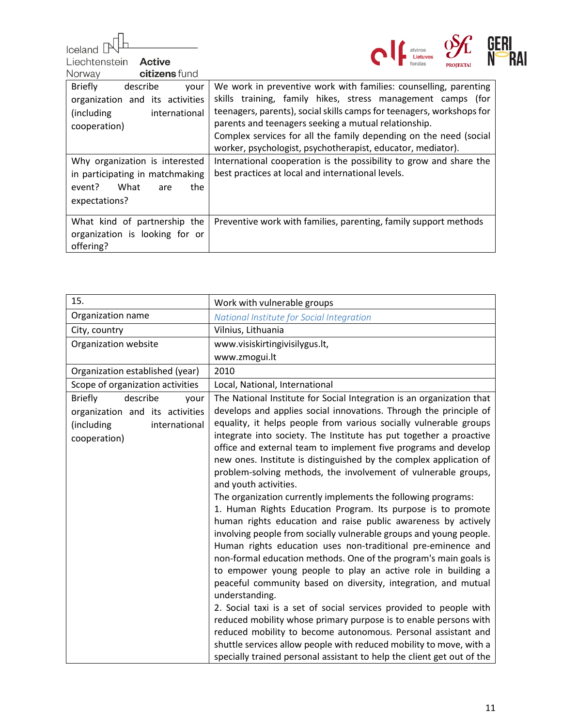Iceland [

Liechtenstein Active



| citizens fund<br>Norway                                                                                               |                                                                                                                                                                                                                                                                                                                                                                                                      |
|-----------------------------------------------------------------------------------------------------------------------|------------------------------------------------------------------------------------------------------------------------------------------------------------------------------------------------------------------------------------------------------------------------------------------------------------------------------------------------------------------------------------------------------|
| <b>Briefly</b><br>describe<br>vour<br>organization and its activities<br>(including)<br>international<br>cooperation) | We work in preventive work with families: counselling, parenting<br>skills training, family hikes, stress management camps (for<br>teenagers, parents), social skills camps for teenagers, workshops for<br>parents and teenagers seeking a mutual relationship.<br>Complex services for all the family depending on the need (social<br>worker, psychologist, psychotherapist, educator, mediator). |
| Why organization is interested<br>in participating in matchmaking<br>What<br>the<br>event?<br>are<br>expectations?    | International cooperation is the possibility to grow and share the<br>best practices at local and international levels.                                                                                                                                                                                                                                                                              |
| What kind of partnership the<br>organization is looking for or<br>offering?                                           | Preventive work with families, parenting, family support methods                                                                                                                                                                                                                                                                                                                                     |

| 15.                                                                                                                  | Work with vulnerable groups                                                                                                                                                                                                                                                                                                                                                                                                                                                                                                                                                                                                                                                                                                                                                                                                                                                                                                                                                                                                                                                                                                                                                                                                                                                                                                                                                 |
|----------------------------------------------------------------------------------------------------------------------|-----------------------------------------------------------------------------------------------------------------------------------------------------------------------------------------------------------------------------------------------------------------------------------------------------------------------------------------------------------------------------------------------------------------------------------------------------------------------------------------------------------------------------------------------------------------------------------------------------------------------------------------------------------------------------------------------------------------------------------------------------------------------------------------------------------------------------------------------------------------------------------------------------------------------------------------------------------------------------------------------------------------------------------------------------------------------------------------------------------------------------------------------------------------------------------------------------------------------------------------------------------------------------------------------------------------------------------------------------------------------------|
| Organization name                                                                                                    | National Institute for Social Integration                                                                                                                                                                                                                                                                                                                                                                                                                                                                                                                                                                                                                                                                                                                                                                                                                                                                                                                                                                                                                                                                                                                                                                                                                                                                                                                                   |
| City, country                                                                                                        | Vilnius, Lithuania                                                                                                                                                                                                                                                                                                                                                                                                                                                                                                                                                                                                                                                                                                                                                                                                                                                                                                                                                                                                                                                                                                                                                                                                                                                                                                                                                          |
| Organization website                                                                                                 | www.visiskirtingivisilygus.lt,                                                                                                                                                                                                                                                                                                                                                                                                                                                                                                                                                                                                                                                                                                                                                                                                                                                                                                                                                                                                                                                                                                                                                                                                                                                                                                                                              |
|                                                                                                                      | www.zmogui.lt                                                                                                                                                                                                                                                                                                                                                                                                                                                                                                                                                                                                                                                                                                                                                                                                                                                                                                                                                                                                                                                                                                                                                                                                                                                                                                                                                               |
| Organization established (year)                                                                                      | 2010                                                                                                                                                                                                                                                                                                                                                                                                                                                                                                                                                                                                                                                                                                                                                                                                                                                                                                                                                                                                                                                                                                                                                                                                                                                                                                                                                                        |
| Scope of organization activities                                                                                     | Local, National, International                                                                                                                                                                                                                                                                                                                                                                                                                                                                                                                                                                                                                                                                                                                                                                                                                                                                                                                                                                                                                                                                                                                                                                                                                                                                                                                                              |
| describe<br><b>Briefly</b><br>your<br>organization and its activities<br>(including<br>international<br>cooperation) | The National Institute for Social Integration is an organization that<br>develops and applies social innovations. Through the principle of<br>equality, it helps people from various socially vulnerable groups<br>integrate into society. The Institute has put together a proactive<br>office and external team to implement five programs and develop<br>new ones. Institute is distinguished by the complex application of<br>problem-solving methods, the involvement of vulnerable groups,<br>and youth activities.<br>The organization currently implements the following programs:<br>1. Human Rights Education Program. Its purpose is to promote<br>human rights education and raise public awareness by actively<br>involving people from socially vulnerable groups and young people.<br>Human rights education uses non-traditional pre-eminence and<br>non-formal education methods. One of the program's main goals is<br>to empower young people to play an active role in building a<br>peaceful community based on diversity, integration, and mutual<br>understanding.<br>2. Social taxi is a set of social services provided to people with<br>reduced mobility whose primary purpose is to enable persons with<br>reduced mobility to become autonomous. Personal assistant and<br>shuttle services allow people with reduced mobility to move, with a |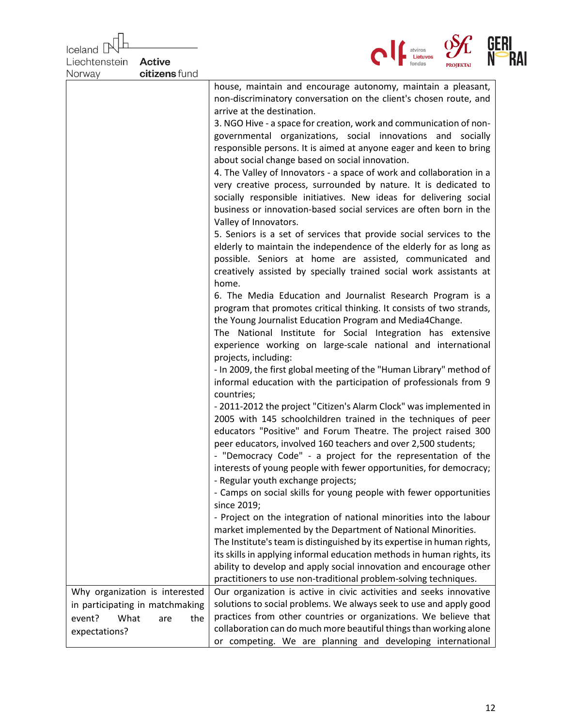| Iceland        |                                               |                                                                                                                                                                                                                                                                                                                                                                                                                                                                                                                                                                                                                                                                                                                                                                                                                                                                                                                                                                                                                                                                                                                                                                                                                                                                                                                                                                                                                                                                                                                                                                                                                                                                                                                                                                                                                                                                                                                                                                                                                                                                                                        |     |
|----------------|-----------------------------------------------|--------------------------------------------------------------------------------------------------------------------------------------------------------------------------------------------------------------------------------------------------------------------------------------------------------------------------------------------------------------------------------------------------------------------------------------------------------------------------------------------------------------------------------------------------------------------------------------------------------------------------------------------------------------------------------------------------------------------------------------------------------------------------------------------------------------------------------------------------------------------------------------------------------------------------------------------------------------------------------------------------------------------------------------------------------------------------------------------------------------------------------------------------------------------------------------------------------------------------------------------------------------------------------------------------------------------------------------------------------------------------------------------------------------------------------------------------------------------------------------------------------------------------------------------------------------------------------------------------------------------------------------------------------------------------------------------------------------------------------------------------------------------------------------------------------------------------------------------------------------------------------------------------------------------------------------------------------------------------------------------------------------------------------------------------------------------------------------------------------|-----|
| Liechtenstein  | <b>Active</b>                                 |                                                                                                                                                                                                                                                                                                                                                                                                                                                                                                                                                                                                                                                                                                                                                                                                                                                                                                                                                                                                                                                                                                                                                                                                                                                                                                                                                                                                                                                                                                                                                                                                                                                                                                                                                                                                                                                                                                                                                                                                                                                                                                        | RAI |
| Norway         | citizens fund                                 |                                                                                                                                                                                                                                                                                                                                                                                                                                                                                                                                                                                                                                                                                                                                                                                                                                                                                                                                                                                                                                                                                                                                                                                                                                                                                                                                                                                                                                                                                                                                                                                                                                                                                                                                                                                                                                                                                                                                                                                                                                                                                                        |     |
|                |                                               | house, maintain and encourage autonomy, maintain a pleasant,<br>non-discriminatory conversation on the client's chosen route, and<br>arrive at the destination.<br>3. NGO Hive - a space for creation, work and communication of non-<br>governmental organizations, social innovations and socially<br>responsible persons. It is aimed at anyone eager and keen to bring<br>about social change based on social innovation.<br>4. The Valley of Innovators - a space of work and collaboration in a<br>very creative process, surrounded by nature. It is dedicated to<br>socially responsible initiatives. New ideas for delivering social<br>business or innovation-based social services are often born in the<br>Valley of Innovators.<br>5. Seniors is a set of services that provide social services to the<br>elderly to maintain the independence of the elderly for as long as<br>possible. Seniors at home are assisted, communicated and<br>creatively assisted by specially trained social work assistants at<br>home.<br>6. The Media Education and Journalist Research Program is a<br>program that promotes critical thinking. It consists of two strands,<br>the Young Journalist Education Program and Media4Change.<br>The National Institute for Social Integration has extensive<br>experience working on large-scale national and international<br>projects, including:<br>- In 2009, the first global meeting of the "Human Library" method of<br>informal education with the participation of professionals from 9<br>countries;<br>- 2011-2012 the project "Citizen's Alarm Clock" was implemented in<br>2005 with 145 schoolchildren trained in the techniques of peer<br>educators "Positive" and Forum Theatre. The project raised 300<br>peer educators, involved 160 teachers and over 2,500 students;<br>- "Democracy Code" - a project for the representation of the<br>interests of young people with fewer opportunities, for democracy;<br>- Regular youth exchange projects;<br>- Camps on social skills for young people with fewer opportunities<br>since 2019; |     |
|                |                                               | - Project on the integration of national minorities into the labour<br>market implemented by the Department of National Minorities.<br>The Institute's team is distinguished by its expertise in human rights,                                                                                                                                                                                                                                                                                                                                                                                                                                                                                                                                                                                                                                                                                                                                                                                                                                                                                                                                                                                                                                                                                                                                                                                                                                                                                                                                                                                                                                                                                                                                                                                                                                                                                                                                                                                                                                                                                         |     |
|                |                                               | its skills in applying informal education methods in human rights, its<br>ability to develop and apply social innovation and encourage other<br>practitioners to use non-traditional problem-solving techniques.                                                                                                                                                                                                                                                                                                                                                                                                                                                                                                                                                                                                                                                                                                                                                                                                                                                                                                                                                                                                                                                                                                                                                                                                                                                                                                                                                                                                                                                                                                                                                                                                                                                                                                                                                                                                                                                                                       |     |
|                | Why organization is interested                | Our organization is active in civic activities and seeks innovative                                                                                                                                                                                                                                                                                                                                                                                                                                                                                                                                                                                                                                                                                                                                                                                                                                                                                                                                                                                                                                                                                                                                                                                                                                                                                                                                                                                                                                                                                                                                                                                                                                                                                                                                                                                                                                                                                                                                                                                                                                    |     |
| What<br>event? | in participating in matchmaking<br>the<br>are | solutions to social problems. We always seek to use and apply good<br>practices from other countries or organizations. We believe that<br>collaboration can do much more beautiful things than working alone                                                                                                                                                                                                                                                                                                                                                                                                                                                                                                                                                                                                                                                                                                                                                                                                                                                                                                                                                                                                                                                                                                                                                                                                                                                                                                                                                                                                                                                                                                                                                                                                                                                                                                                                                                                                                                                                                           |     |
| expectations?  |                                               | or competing. We are planning and developing international                                                                                                                                                                                                                                                                                                                                                                                                                                                                                                                                                                                                                                                                                                                                                                                                                                                                                                                                                                                                                                                                                                                                                                                                                                                                                                                                                                                                                                                                                                                                                                                                                                                                                                                                                                                                                                                                                                                                                                                                                                             |     |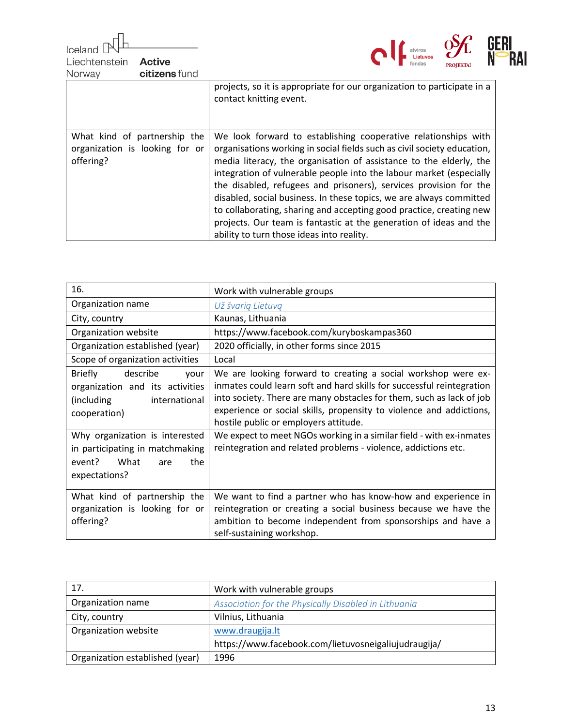Iceland atviros<br>**Lietuvos** Liechtenstein **Active** fondas **PROJEKTAL** citizens fund Norway projects, so it is appropriate for our organization to participate in a contact knitting event. What kind of partnership the We look forward to establishing cooperative relationships with organization is looking for or organisations working in social fields such as civil society education, offering? media literacy, the organisation of assistance to the elderly, the integration of vulnerable people into the labour market (especially the disabled, refugees and prisoners), services provision for the disabled, social business. In these topics, we are always committed to collaborating, sharing and accepting good practice, creating new projects. Our team is fantastic at the generation of ideas and the ability to turn those ideas into reality.

| 16.                                                                                                                   | Work with vulnerable groups                                                                                                                                                                                                                                                                                                    |
|-----------------------------------------------------------------------------------------------------------------------|--------------------------------------------------------------------------------------------------------------------------------------------------------------------------------------------------------------------------------------------------------------------------------------------------------------------------------|
| Organization name                                                                                                     | Už švarią Lietuvą                                                                                                                                                                                                                                                                                                              |
| City, country                                                                                                         | Kaunas, Lithuania                                                                                                                                                                                                                                                                                                              |
| Organization website                                                                                                  | https://www.facebook.com/kuryboskampas360                                                                                                                                                                                                                                                                                      |
| Organization established (year)                                                                                       | 2020 officially, in other forms since 2015                                                                                                                                                                                                                                                                                     |
| Scope of organization activities                                                                                      | Local                                                                                                                                                                                                                                                                                                                          |
| describe<br><b>Briefly</b><br>your<br>organization and its activities<br>(including)<br>international<br>cooperation) | We are looking forward to creating a social workshop were ex-<br>inmates could learn soft and hard skills for successful reintegration<br>into society. There are many obstacles for them, such as lack of job<br>experience or social skills, propensity to violence and addictions,<br>hostile public or employers attitude. |
| Why organization is interested<br>in participating in matchmaking<br>event? What<br>the<br>are<br>expectations?       | We expect to meet NGOs working in a similar field - with ex-inmates<br>reintegration and related problems - violence, addictions etc.                                                                                                                                                                                          |
| What kind of partnership the<br>organization is looking for or<br>offering?                                           | We want to find a partner who has know-how and experience in<br>reintegration or creating a social business because we have the<br>ambition to become independent from sponsorships and have a<br>self-sustaining workshop.                                                                                                    |

| 17.                             | Work with vulnerable groups                          |
|---------------------------------|------------------------------------------------------|
| Organization name               | Association for the Physically Disabled in Lithuania |
| City, country                   | Vilnius, Lithuania                                   |
| Organization website            | www.draugija.lt                                      |
|                                 | https://www.facebook.com/lietuvosneigaliujudraugija/ |
| Organization established (year) | 1996                                                 |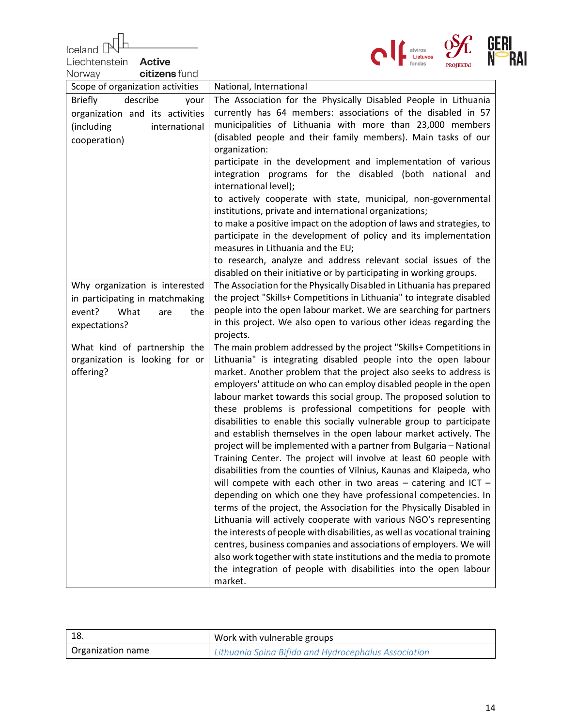| Iceland                                                   | atviros                                                                                                                                  |  |
|-----------------------------------------------------------|------------------------------------------------------------------------------------------------------------------------------------------|--|
| Liechtenstein<br><b>Active</b><br>citizens fund<br>Norway |                                                                                                                                          |  |
| Scope of organization activities                          | National, International                                                                                                                  |  |
| describe<br><b>Briefly</b><br>your                        | The Association for the Physically Disabled People in Lithuania                                                                          |  |
| organization and its activities                           | currently has 64 members: associations of the disabled in 57                                                                             |  |
| (including<br>international                               | municipalities of Lithuania with more than 23,000 members                                                                                |  |
| cooperation)                                              | (disabled people and their family members). Main tasks of our                                                                            |  |
|                                                           | organization:<br>participate in the development and implementation of various                                                            |  |
|                                                           | integration programs for the disabled (both national and<br>international level);                                                        |  |
|                                                           | to actively cooperate with state, municipal, non-governmental<br>institutions, private and international organizations;                  |  |
|                                                           | to make a positive impact on the adoption of laws and strategies, to<br>participate in the development of policy and its implementation  |  |
|                                                           | measures in Lithuania and the EU;                                                                                                        |  |
|                                                           | to research, analyze and address relevant social issues of the                                                                           |  |
|                                                           | disabled on their initiative or by participating in working groups.                                                                      |  |
| Why organization is interested                            | The Association for the Physically Disabled in Lithuania has prepared                                                                    |  |
| in participating in matchmaking                           | the project "Skills+ Competitions in Lithuania" to integrate disabled                                                                    |  |
| event?<br>What<br>the<br>are                              | people into the open labour market. We are searching for partners<br>in this project. We also open to various other ideas regarding the  |  |
| expectations?                                             | projects.                                                                                                                                |  |
| What kind of partnership the                              | The main problem addressed by the project "Skills+ Competitions in                                                                       |  |
| organization is looking for or                            | Lithuania" is integrating disabled people into the open labour                                                                           |  |
| offering?                                                 | market. Another problem that the project also seeks to address is                                                                        |  |
|                                                           | employers' attitude on who can employ disabled people in the open                                                                        |  |
|                                                           | labour market towards this social group. The proposed solution to                                                                        |  |
|                                                           | these problems is professional competitions for people with                                                                              |  |
|                                                           | disabilities to enable this socially vulnerable group to participate<br>and establish themselves in the open labour market actively. The |  |
|                                                           | project will be implemented with a partner from Bulgaria - National                                                                      |  |
|                                                           | Training Center. The project will involve at least 60 people with                                                                        |  |
|                                                           | disabilities from the counties of Vilnius, Kaunas and Klaipeda, who                                                                      |  |
|                                                           | will compete with each other in two areas $-$ catering and ICT $-$                                                                       |  |
|                                                           | depending on which one they have professional competencies. In                                                                           |  |
|                                                           | terms of the project, the Association for the Physically Disabled in                                                                     |  |
|                                                           | Lithuania will actively cooperate with various NGO's representing                                                                        |  |
|                                                           | the interests of people with disabilities, as well as vocational training                                                                |  |
|                                                           | centres, business companies and associations of employers. We will                                                                       |  |
|                                                           | also work together with state institutions and the media to promote                                                                      |  |
|                                                           | the integration of people with disabilities into the open labour<br>market.                                                              |  |

| -18.              | Work with vulnerable groups                          |
|-------------------|------------------------------------------------------|
| Organization name | Lithuania Spina Bifida and Hydrocephalus Association |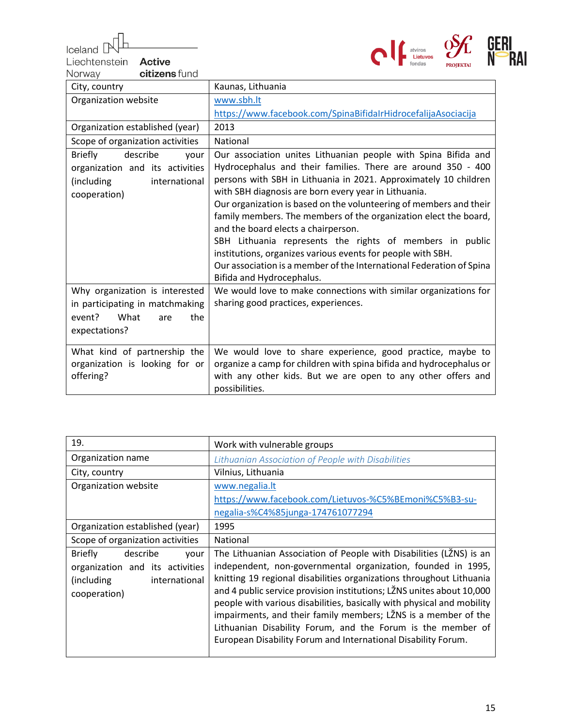$I$ celand  $\mathbb P$ 

Liechtenstein **Active**<br>Norway citizens



| Norway<br>citizens fund                                                                                              |                                                                                                                                                                                                                                                                                                                                                                                                                                                                                                                                                                                                                                                                             |
|----------------------------------------------------------------------------------------------------------------------|-----------------------------------------------------------------------------------------------------------------------------------------------------------------------------------------------------------------------------------------------------------------------------------------------------------------------------------------------------------------------------------------------------------------------------------------------------------------------------------------------------------------------------------------------------------------------------------------------------------------------------------------------------------------------------|
| City, country                                                                                                        | Kaunas, Lithuania                                                                                                                                                                                                                                                                                                                                                                                                                                                                                                                                                                                                                                                           |
| Organization website                                                                                                 | www.sbh.lt                                                                                                                                                                                                                                                                                                                                                                                                                                                                                                                                                                                                                                                                  |
|                                                                                                                      | https://www.facebook.com/SpinaBifidaIrHidrocefalijaAsociacija                                                                                                                                                                                                                                                                                                                                                                                                                                                                                                                                                                                                               |
| Organization established (year)                                                                                      | 2013                                                                                                                                                                                                                                                                                                                                                                                                                                                                                                                                                                                                                                                                        |
| Scope of organization activities                                                                                     | National                                                                                                                                                                                                                                                                                                                                                                                                                                                                                                                                                                                                                                                                    |
| describe<br><b>Briefly</b><br>your<br>organization and its activities<br>(including<br>international<br>cooperation) | Our association unites Lithuanian people with Spina Bifida and<br>Hydrocephalus and their families. There are around 350 - 400<br>persons with SBH in Lithuania in 2021. Approximately 10 children<br>with SBH diagnosis are born every year in Lithuania.<br>Our organization is based on the volunteering of members and their<br>family members. The members of the organization elect the board,<br>and the board elects a chairperson.<br>SBH Lithuania represents the rights of members in public<br>institutions, organizes various events for people with SBH.<br>Our association is a member of the International Federation of Spina<br>Bifida and Hydrocephalus. |
| Why organization is interested<br>in participating in matchmaking<br>event?<br>What<br>the<br>are<br>expectations?   | We would love to make connections with similar organizations for<br>sharing good practices, experiences.                                                                                                                                                                                                                                                                                                                                                                                                                                                                                                                                                                    |
| What kind of partnership the<br>organization is looking for or<br>offering?                                          | We would love to share experience, good practice, maybe to<br>organize a camp for children with spina bifida and hydrocephalus or<br>with any other kids. But we are open to any other offers and<br>possibilities.                                                                                                                                                                                                                                                                                                                                                                                                                                                         |

| 19.                                | Work with vulnerable groups                                            |
|------------------------------------|------------------------------------------------------------------------|
| Organization name                  | Lithuanian Association of People with Disabilities                     |
| City, country                      | Vilnius, Lithuania                                                     |
| Organization website               | www.negalia.lt                                                         |
|                                    | https://www.facebook.com/Lietuvos-%C5%BEmoni%C5%B3-su-                 |
|                                    | negalia-s%C4%85junga-174761077294                                      |
| Organization established (year)    | 1995                                                                   |
| Scope of organization activities   | National                                                               |
| describe<br><b>Briefly</b><br>your | The Lithuanian Association of People with Disabilities (LŽNS) is an    |
| organization and its activities    | independent, non-governmental organization, founded in 1995,           |
| (including)<br>international       | knitting 19 regional disabilities organizations throughout Lithuania   |
| cooperation)                       | and 4 public service provision institutions; LŽNS unites about 10,000  |
|                                    | people with various disabilities, basically with physical and mobility |
|                                    | impairments, and their family members; LŽNS is a member of the         |
|                                    | Lithuanian Disability Forum, and the Forum is the member of            |
|                                    | European Disability Forum and International Disability Forum.          |
|                                    |                                                                        |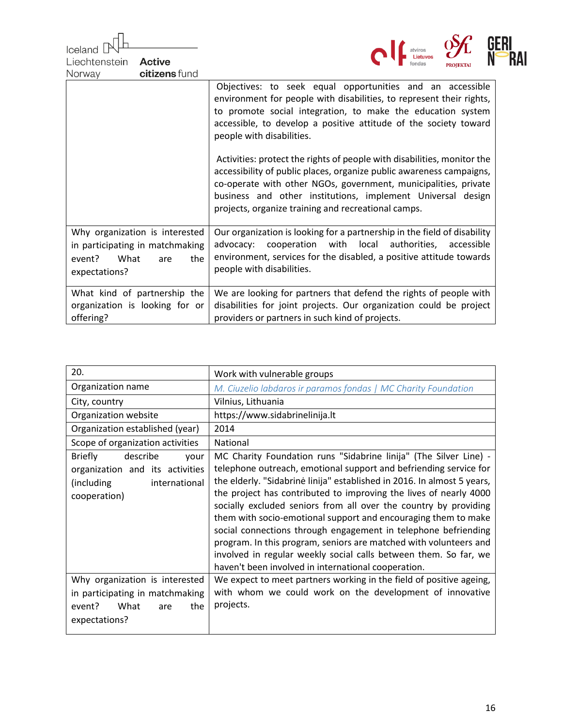| Iceland<br>Liechtenstein<br><b>Active</b><br>citizens fund<br>Norway                                               | atviros<br>La Lietuvos                                                                                                                                                                                                                                                                                                                   |
|--------------------------------------------------------------------------------------------------------------------|------------------------------------------------------------------------------------------------------------------------------------------------------------------------------------------------------------------------------------------------------------------------------------------------------------------------------------------|
|                                                                                                                    | Objectives: to seek equal opportunities and an accessible<br>environment for people with disabilities, to represent their rights,<br>to promote social integration, to make the education system<br>accessible, to develop a positive attitude of the society toward<br>people with disabilities.                                        |
|                                                                                                                    | Activities: protect the rights of people with disabilities, monitor the<br>accessibility of public places, organize public awareness campaigns,<br>co-operate with other NGOs, government, municipalities, private<br>business and other institutions, implement Universal design<br>projects, organize training and recreational camps. |
| Why organization is interested<br>in participating in matchmaking<br>What<br>event?<br>the<br>are<br>expectations? | Our organization is looking for a partnership in the field of disability<br>with local authorities,<br>cooperation<br>advocacy:<br>accessible<br>environment, services for the disabled, a positive attitude towards<br>people with disabilities.                                                                                        |
| What kind of partnership the<br>organization is looking for or<br>offering?                                        | We are looking for partners that defend the rights of people with<br>disabilities for joint projects. Our organization could be project<br>providers or partners in such kind of projects.                                                                                                                                               |

| 20.                                                                                                                  | Work with vulnerable groups                                                                                                                                                                                                                                                                                                                                                                                                                                                                                                                                                                                                                                                                    |
|----------------------------------------------------------------------------------------------------------------------|------------------------------------------------------------------------------------------------------------------------------------------------------------------------------------------------------------------------------------------------------------------------------------------------------------------------------------------------------------------------------------------------------------------------------------------------------------------------------------------------------------------------------------------------------------------------------------------------------------------------------------------------------------------------------------------------|
| Organization name                                                                                                    | M. Ciuzelio labdaros ir paramos fondas   MC Charity Foundation                                                                                                                                                                                                                                                                                                                                                                                                                                                                                                                                                                                                                                 |
| City, country                                                                                                        | Vilnius, Lithuania                                                                                                                                                                                                                                                                                                                                                                                                                                                                                                                                                                                                                                                                             |
| Organization website                                                                                                 | https://www.sidabrinelinija.lt                                                                                                                                                                                                                                                                                                                                                                                                                                                                                                                                                                                                                                                                 |
| Organization established (year)                                                                                      | 2014                                                                                                                                                                                                                                                                                                                                                                                                                                                                                                                                                                                                                                                                                           |
| Scope of organization activities                                                                                     | National                                                                                                                                                                                                                                                                                                                                                                                                                                                                                                                                                                                                                                                                                       |
| <b>Briefly</b><br>describe<br>your<br>organization and its activities<br>(including<br>international<br>cooperation) | MC Charity Foundation runs "Sidabrine linija" (The Silver Line) -<br>telephone outreach, emotional support and befriending service for<br>the elderly. "Sidabrinė linija" established in 2016. In almost 5 years,<br>the project has contributed to improving the lives of nearly 4000<br>socially excluded seniors from all over the country by providing<br>them with socio-emotional support and encouraging them to make<br>social connections through engagement in telephone befriending<br>program. In this program, seniors are matched with volunteers and<br>involved in regular weekly social calls between them. So far, we<br>haven't been involved in international cooperation. |
| Why organization is interested<br>in participating in matchmaking<br>What<br>event?<br>the<br>are<br>expectations?   | We expect to meet partners working in the field of positive ageing,<br>with whom we could work on the development of innovative<br>projects.                                                                                                                                                                                                                                                                                                                                                                                                                                                                                                                                                   |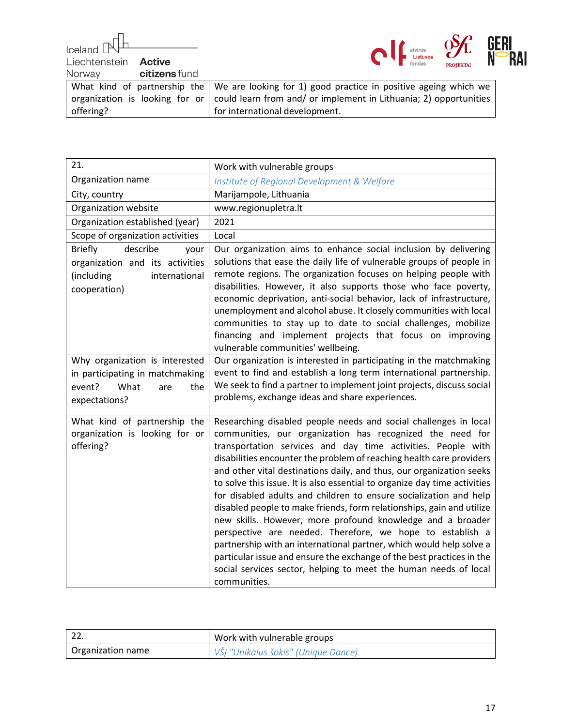Iceland [

**Active** 



Liechtenstein Norway

|           |                      | 1 <b>100 12 11 11 11</b>                                                                             |
|-----------|----------------------|------------------------------------------------------------------------------------------------------|
| Norway    | <b>citizens</b> fund |                                                                                                      |
|           |                      | What kind of partnership the $\vert$ We are looking for 1) good practice in positive ageing which we |
|           |                      | organization is looking for or could learn from and/or implement in Lithuania; 2) opportunities      |
| offering? |                      | for international development.                                                                       |

| 21.                                                                                                                  | Work with vulnerable groups                                                                                                                                                                                                                                                                                                                                                                                                                                                                                                                                                                                                                                                                                                                                                                                                                                                                                                             |
|----------------------------------------------------------------------------------------------------------------------|-----------------------------------------------------------------------------------------------------------------------------------------------------------------------------------------------------------------------------------------------------------------------------------------------------------------------------------------------------------------------------------------------------------------------------------------------------------------------------------------------------------------------------------------------------------------------------------------------------------------------------------------------------------------------------------------------------------------------------------------------------------------------------------------------------------------------------------------------------------------------------------------------------------------------------------------|
| Organization name                                                                                                    | Institute of Regional Development & Welfare                                                                                                                                                                                                                                                                                                                                                                                                                                                                                                                                                                                                                                                                                                                                                                                                                                                                                             |
| City, country                                                                                                        | Marijampole, Lithuania                                                                                                                                                                                                                                                                                                                                                                                                                                                                                                                                                                                                                                                                                                                                                                                                                                                                                                                  |
| Organization website                                                                                                 | www.regionupletra.lt                                                                                                                                                                                                                                                                                                                                                                                                                                                                                                                                                                                                                                                                                                                                                                                                                                                                                                                    |
| Organization established (year)                                                                                      | 2021                                                                                                                                                                                                                                                                                                                                                                                                                                                                                                                                                                                                                                                                                                                                                                                                                                                                                                                                    |
| Scope of organization activities                                                                                     | Local                                                                                                                                                                                                                                                                                                                                                                                                                                                                                                                                                                                                                                                                                                                                                                                                                                                                                                                                   |
| describe<br><b>Briefly</b><br>your<br>organization and its activities<br>(including<br>international<br>cooperation) | Our organization aims to enhance social inclusion by delivering<br>solutions that ease the daily life of vulnerable groups of people in<br>remote regions. The organization focuses on helping people with<br>disabilities. However, it also supports those who face poverty,<br>economic deprivation, anti-social behavior, lack of infrastructure,<br>unemployment and alcohol abuse. It closely communities with local<br>communities to stay up to date to social challenges, mobilize<br>financing and implement projects that focus on improving<br>vulnerable communities' wellbeing.                                                                                                                                                                                                                                                                                                                                            |
| Why organization is interested<br>in participating in matchmaking<br>event?<br>What<br>are<br>the<br>expectations?   | Our organization is interested in participating in the matchmaking<br>event to find and establish a long term international partnership.<br>We seek to find a partner to implement joint projects, discuss social<br>problems, exchange ideas and share experiences.                                                                                                                                                                                                                                                                                                                                                                                                                                                                                                                                                                                                                                                                    |
| What kind of partnership the<br>organization is looking for or<br>offering?                                          | Researching disabled people needs and social challenges in local<br>communities, our organization has recognized the need for<br>transportation services and day time activities. People with<br>disabilities encounter the problem of reaching health care providers<br>and other vital destinations daily, and thus, our organization seeks<br>to solve this issue. It is also essential to organize day time activities<br>for disabled adults and children to ensure socialization and help<br>disabled people to make friends, form relationships, gain and utilize<br>new skills. However, more profound knowledge and a broader<br>perspective are needed. Therefore, we hope to establish a<br>partnership with an international partner, which would help solve a<br>particular issue and ensure the exchange of the best practices in the<br>social services sector, helping to meet the human needs of local<br>communities. |

|                   | Work with vulnerable groups         |
|-------------------|-------------------------------------|
| Organization name | VŠĮ "Unikalus šokis" (Unique Dance) |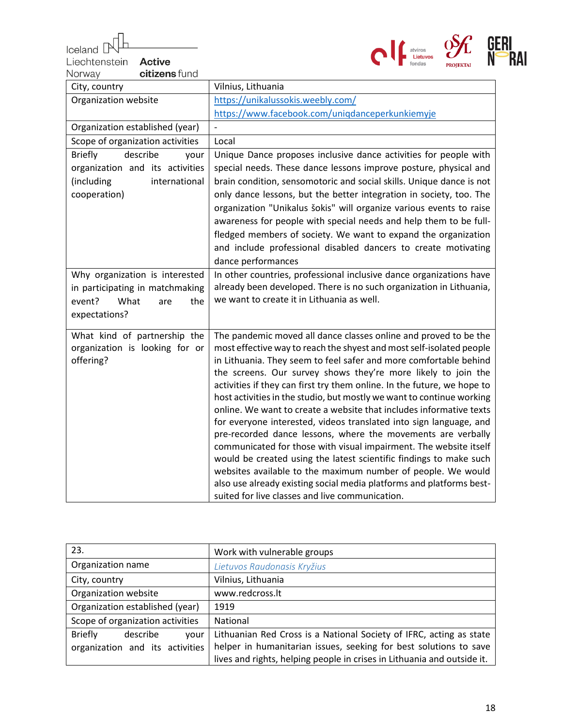Iceland  $\mathbb P$ 

Liechtenstein **Active**<br>Norway citizens



| Vilnius, Lithuania                                                                                                                 |
|------------------------------------------------------------------------------------------------------------------------------------|
| https://unikalussokis.weebly.com/                                                                                                  |
| https://www.facebook.com/uniqdanceperkunkiemyje                                                                                    |
|                                                                                                                                    |
| Local                                                                                                                              |
| Unique Dance proposes inclusive dance activities for people with                                                                   |
| special needs. These dance lessons improve posture, physical and                                                                   |
| brain condition, sensomotoric and social skills. Unique dance is not                                                               |
| only dance lessons, but the better integration in society, too. The                                                                |
| organization "Unikalus šokis" will organize various events to raise                                                                |
| awareness for people with special needs and help them to be full-                                                                  |
| fledged members of society. We want to expand the organization                                                                     |
| and include professional disabled dancers to create motivating                                                                     |
| dance performances                                                                                                                 |
| In other countries, professional inclusive dance organizations have                                                                |
| already been developed. There is no such organization in Lithuania,                                                                |
| we want to create it in Lithuania as well.                                                                                         |
|                                                                                                                                    |
| The pandemic moved all dance classes online and proved to be the                                                                   |
| most effective way to reach the shyest and most self-isolated people                                                               |
| in Lithuania. They seem to feel safer and more comfortable behind                                                                  |
| the screens. Our survey shows they're more likely to join the                                                                      |
| activities if they can first try them online. In the future, we hope to                                                            |
| host activities in the studio, but mostly we want to continue working                                                              |
| online. We want to create a website that includes informative texts                                                                |
| for everyone interested, videos translated into sign language, and                                                                 |
| pre-recorded dance lessons, where the movements are verbally                                                                       |
| communicated for those with visual impairment. The website itself                                                                  |
| would be created using the latest scientific findings to make such<br>websites available to the maximum number of people. We would |
| also use already existing social media platforms and platforms best-                                                               |
| suited for live classes and live communication.                                                                                    |
|                                                                                                                                    |

| 23.                                | Work with vulnerable groups                                             |
|------------------------------------|-------------------------------------------------------------------------|
| Organization name                  | Lietuvos Raudonasis Kryžius                                             |
| City, country                      | Vilnius, Lithuania                                                      |
| Organization website               | www.redcross.lt                                                         |
| Organization established (year)    | 1919                                                                    |
| Scope of organization activities   | National                                                                |
| <b>Briefly</b><br>describe<br>your | Lithuanian Red Cross is a National Society of IFRC, acting as state     |
| organization and its activities    | helper in humanitarian issues, seeking for best solutions to save       |
|                                    | lives and rights, helping people in crises in Lithuania and outside it. |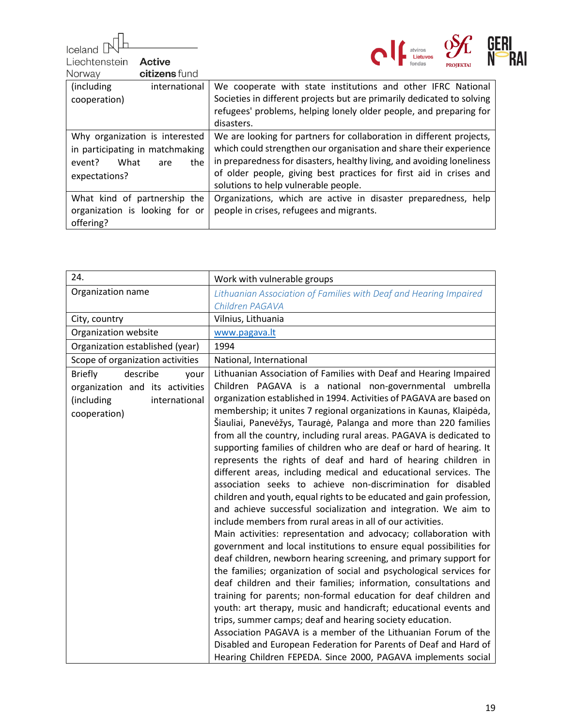Iceland  $\mathbb P$ 

Liechtenstein **Active**<br>Norway citizens



|                                 | <b>FRUIERIAI</b>                                                              |
|---------------------------------|-------------------------------------------------------------------------------|
| citizens fund<br>Norway         |                                                                               |
| (including<br>international     | We cooperate with state institutions and other IFRC National                  |
| cooperation)                    | Societies in different projects but are primarily dedicated to solving        |
|                                 | refugees' problems, helping lonely older people, and preparing for            |
|                                 | disasters.                                                                    |
| Why organization is interested  | We are looking for partners for collaboration in different projects,          |
| in participating in matchmaking | which could strengthen our organisation and share their experience            |
| event?<br>What<br>are           | in preparedness for disasters, healthy living, and avoiding loneliness<br>the |
| expectations?                   | of older people, giving best practices for first aid in crises and            |
|                                 | solutions to help vulnerable people.                                          |
| What kind of partnership the    | Organizations, which are active in disaster preparedness, help                |
| organization is looking for or  | people in crises, refugees and migrants.                                      |
| offering?                       |                                                                               |

| 24.                                | Work with vulnerable groups                                          |
|------------------------------------|----------------------------------------------------------------------|
| Organization name                  | Lithuanian Association of Families with Deaf and Hearing Impaired    |
|                                    | Children PAGAVA                                                      |
| City, country                      | Vilnius, Lithuania                                                   |
| Organization website               | www.pagava.lt                                                        |
| Organization established (year)    | 1994                                                                 |
| Scope of organization activities   | National, International                                              |
| describe<br><b>Briefly</b><br>your | Lithuanian Association of Families with Deaf and Hearing Impaired    |
| organization and its activities    | Children PAGAVA is a national non-governmental umbrella              |
| (including<br>international        | organization established in 1994. Activities of PAGAVA are based on  |
| cooperation)                       | membership; it unites 7 regional organizations in Kaunas, Klaipėda,  |
|                                    | Šiauliai, Panevėžys, Tauragė, Palanga and more than 220 families     |
|                                    | from all the country, including rural areas. PAGAVA is dedicated to  |
|                                    | supporting families of children who are deaf or hard of hearing. It  |
|                                    | represents the rights of deaf and hard of hearing children in        |
|                                    | different areas, including medical and educational services. The     |
|                                    | association seeks to achieve non-discrimination for disabled         |
|                                    | children and youth, equal rights to be educated and gain profession, |
|                                    | and achieve successful socialization and integration. We aim to      |
|                                    | include members from rural areas in all of our activities.           |
|                                    | Main activities: representation and advocacy; collaboration with     |
|                                    | government and local institutions to ensure equal possibilities for  |
|                                    | deaf children, newborn hearing screening, and primary support for    |
|                                    | the families; organization of social and psychological services for  |
|                                    | deaf children and their families; information, consultations and     |
|                                    | training for parents; non-formal education for deaf children and     |
|                                    | youth: art therapy, music and handicraft; educational events and     |
|                                    | trips, summer camps; deaf and hearing society education.             |
|                                    | Association PAGAVA is a member of the Lithuanian Forum of the        |
|                                    | Disabled and European Federation for Parents of Deaf and Hard of     |
|                                    | Hearing Children FEPEDA. Since 2000, PAGAVA implements social        |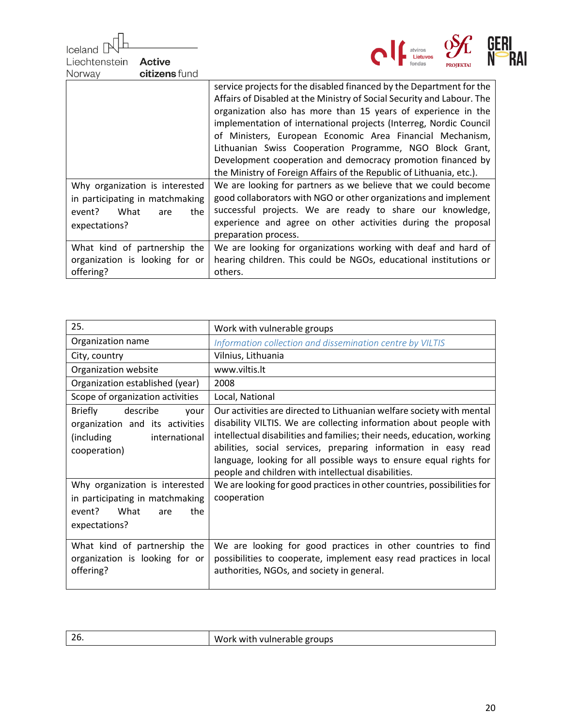Iceland [ Liechtenstein **Active** 



| citizens fund<br>Norway         |                                                                        |
|---------------------------------|------------------------------------------------------------------------|
|                                 | service projects for the disabled financed by the Department for the   |
|                                 | Affairs of Disabled at the Ministry of Social Security and Labour. The |
|                                 | organization also has more than 15 years of experience in the          |
|                                 | implementation of international projects (Interreg, Nordic Council     |
|                                 | of Ministers, European Economic Area Financial Mechanism,              |
|                                 | Lithuanian Swiss Cooperation Programme, NGO Block Grant,               |
|                                 | Development cooperation and democracy promotion financed by            |
|                                 | the Ministry of Foreign Affairs of the Republic of Lithuania, etc.).   |
| Why organization is interested  | We are looking for partners as we believe that we could become         |
| in participating in matchmaking | good collaborators with NGO or other organizations and implement       |
| What<br>the<br>event?<br>are    | successful projects. We are ready to share our knowledge,              |
| expectations?                   | experience and agree on other activities during the proposal           |
|                                 | preparation process.                                                   |
| What kind of partnership the    | We are looking for organizations working with deaf and hard of         |
| organization is looking for or  | hearing children. This could be NGOs, educational institutions or      |
| offering?                       | others.                                                                |

| 25.                                                                                                                   | Work with vulnerable groups                                                                                                                                                                                                                                                                                                                                                                                           |
|-----------------------------------------------------------------------------------------------------------------------|-----------------------------------------------------------------------------------------------------------------------------------------------------------------------------------------------------------------------------------------------------------------------------------------------------------------------------------------------------------------------------------------------------------------------|
| Organization name                                                                                                     | Information collection and dissemination centre by VILTIS                                                                                                                                                                                                                                                                                                                                                             |
| City, country                                                                                                         | Vilnius, Lithuania                                                                                                                                                                                                                                                                                                                                                                                                    |
| Organization website                                                                                                  | www.viltis.lt                                                                                                                                                                                                                                                                                                                                                                                                         |
| Organization established (year)                                                                                       | 2008                                                                                                                                                                                                                                                                                                                                                                                                                  |
| Scope of organization activities                                                                                      | Local, National                                                                                                                                                                                                                                                                                                                                                                                                       |
| describe<br><b>Briefly</b><br>your<br>organization and its activities<br>(including)<br>international<br>cooperation) | Our activities are directed to Lithuanian welfare society with mental<br>disability VILTIS. We are collecting information about people with<br>intellectual disabilities and families; their needs, education, working<br>abilities, social services, preparing information in easy read<br>language, looking for all possible ways to ensure equal rights for<br>people and children with intellectual disabilities. |
| Why organization is interested<br>in participating in matchmaking<br>event? What<br>the<br>are<br>expectations?       | We are looking for good practices in other countries, possibilities for<br>cooperation                                                                                                                                                                                                                                                                                                                                |
| What kind of partnership the<br>organization is looking for or<br>offering?                                           | We are looking for good practices in other countries to find<br>possibilities to cooperate, implement easy read practices in local<br>authorities, NGOs, and society in general.                                                                                                                                                                                                                                      |

| Work with vulnerable groups |
|-----------------------------|
|                             |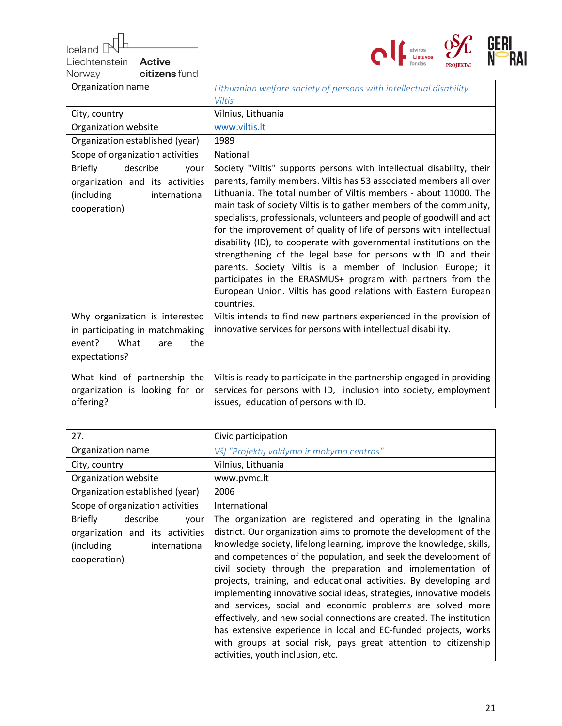Iceland [

Liechtenstein Active citizens fund



| citizens fund<br>Norway                                                                                               |                                                                                                                                                                                                                                                                                                                                                                                                                                                                                                                                                                                                                                                                                                                                                                                              |
|-----------------------------------------------------------------------------------------------------------------------|----------------------------------------------------------------------------------------------------------------------------------------------------------------------------------------------------------------------------------------------------------------------------------------------------------------------------------------------------------------------------------------------------------------------------------------------------------------------------------------------------------------------------------------------------------------------------------------------------------------------------------------------------------------------------------------------------------------------------------------------------------------------------------------------|
| Organization name                                                                                                     | Lithuanian welfare society of persons with intellectual disability<br><b>Viltis</b>                                                                                                                                                                                                                                                                                                                                                                                                                                                                                                                                                                                                                                                                                                          |
| City, country                                                                                                         | Vilnius, Lithuania                                                                                                                                                                                                                                                                                                                                                                                                                                                                                                                                                                                                                                                                                                                                                                           |
| Organization website                                                                                                  | www.viltis.lt                                                                                                                                                                                                                                                                                                                                                                                                                                                                                                                                                                                                                                                                                                                                                                                |
| Organization established (year)                                                                                       | 1989                                                                                                                                                                                                                                                                                                                                                                                                                                                                                                                                                                                                                                                                                                                                                                                         |
| Scope of organization activities                                                                                      | National                                                                                                                                                                                                                                                                                                                                                                                                                                                                                                                                                                                                                                                                                                                                                                                     |
| describe<br><b>Briefly</b><br>your<br>organization and its activities<br>(including)<br>international<br>cooperation) | Society "Viltis" supports persons with intellectual disability, their<br>parents, family members. Viltis has 53 associated members all over<br>Lithuania. The total number of Viltis members - about 11000. The<br>main task of society Viltis is to gather members of the community,<br>specialists, professionals, volunteers and people of goodwill and act<br>for the improvement of quality of life of persons with intellectual<br>disability (ID), to cooperate with governmental institutions on the<br>strengthening of the legal base for persons with ID and their<br>parents. Society Viltis is a member of Inclusion Europe; it<br>participates in the ERASMUS+ program with partners from the<br>European Union. Viltis has good relations with Eastern European<br>countries. |
| Why organization is interested<br>in participating in matchmaking<br>What<br>event?<br>the<br>are<br>expectations?    | Viltis intends to find new partners experienced in the provision of<br>innovative services for persons with intellectual disability.                                                                                                                                                                                                                                                                                                                                                                                                                                                                                                                                                                                                                                                         |
| What kind of partnership the<br>organization is looking for or<br>offering?                                           | Viltis is ready to participate in the partnership engaged in providing<br>services for persons with ID, inclusion into society, employment<br>issues, education of persons with ID.                                                                                                                                                                                                                                                                                                                                                                                                                                                                                                                                                                                                          |

| 27.                                                                                                                  | Civic participation                                                                                                                                                                                                                                                                                                                                                                                                                                                                                                                                                                                                                                                                                                                                                                                      |
|----------------------------------------------------------------------------------------------------------------------|----------------------------------------------------------------------------------------------------------------------------------------------------------------------------------------------------------------------------------------------------------------------------------------------------------------------------------------------------------------------------------------------------------------------------------------------------------------------------------------------------------------------------------------------------------------------------------------------------------------------------------------------------------------------------------------------------------------------------------------------------------------------------------------------------------|
| Organization name                                                                                                    | VšJ "Projekty valdymo ir mokymo centras"                                                                                                                                                                                                                                                                                                                                                                                                                                                                                                                                                                                                                                                                                                                                                                 |
| City, country                                                                                                        | Vilnius, Lithuania                                                                                                                                                                                                                                                                                                                                                                                                                                                                                                                                                                                                                                                                                                                                                                                       |
| Organization website                                                                                                 | www.pvmc.lt                                                                                                                                                                                                                                                                                                                                                                                                                                                                                                                                                                                                                                                                                                                                                                                              |
| Organization established (year)                                                                                      | 2006                                                                                                                                                                                                                                                                                                                                                                                                                                                                                                                                                                                                                                                                                                                                                                                                     |
| Scope of organization activities                                                                                     | International                                                                                                                                                                                                                                                                                                                                                                                                                                                                                                                                                                                                                                                                                                                                                                                            |
| describe<br><b>Briefly</b><br>your<br>organization and its activities<br>(including<br>international<br>cooperation) | The organization are registered and operating in the Ignalina<br>district. Our organization aims to promote the development of the<br>knowledge society, lifelong learning, improve the knowledge, skills,<br>and competences of the population, and seek the development of<br>civil society through the preparation and implementation of<br>projects, training, and educational activities. By developing and<br>implementing innovative social ideas, strategies, innovative models<br>and services, social and economic problems are solved more<br>effectively, and new social connections are created. The institution<br>has extensive experience in local and EC-funded projects, works<br>with groups at social risk, pays great attention to citizenship<br>activities, youth inclusion, etc. |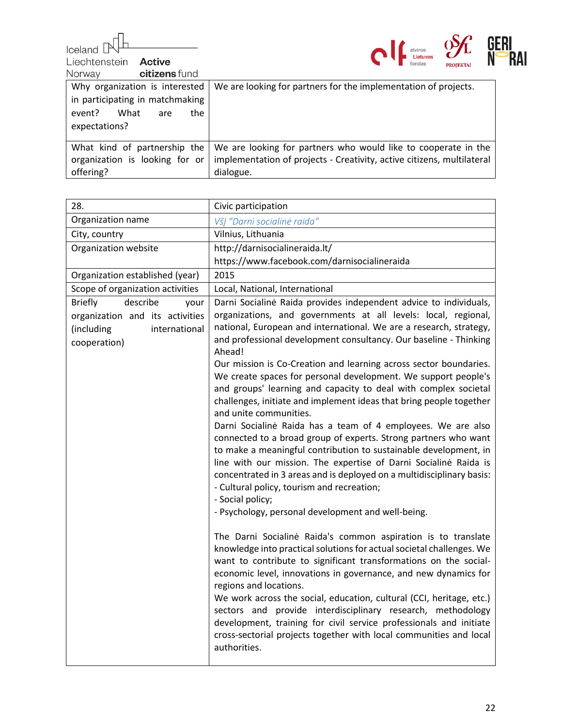$\begin{array}{c} \hline \text{Ideal} \end{array}$ 



| Liechtenstein<br>Active<br>citizens fund<br>Norway                                                              | $\blacksquare$<br>Lietuvos<br><b>PROJEKTA</b>                                                                                                         |
|-----------------------------------------------------------------------------------------------------------------|-------------------------------------------------------------------------------------------------------------------------------------------------------|
| Why organization is interested<br>in participating in matchmaking<br>event? What<br>the<br>are<br>expectations? | We are looking for partners for the implementation of projects.                                                                                       |
| What kind of partnership the<br>organization is looking for or<br>offering?                                     | We are looking for partners who would like to cooperate in the<br>implementation of projects - Creativity, active citizens, multilateral<br>dialogue. |

| 28.                                                                            | Civic participation                                                                                                                                                                                                                                                                                                                                                                                                                                                                                                                                                                                                                                                                                                                                                                 |
|--------------------------------------------------------------------------------|-------------------------------------------------------------------------------------------------------------------------------------------------------------------------------------------------------------------------------------------------------------------------------------------------------------------------------------------------------------------------------------------------------------------------------------------------------------------------------------------------------------------------------------------------------------------------------------------------------------------------------------------------------------------------------------------------------------------------------------------------------------------------------------|
| Organization name                                                              | VšJ "Darni socialinė raida"                                                                                                                                                                                                                                                                                                                                                                                                                                                                                                                                                                                                                                                                                                                                                         |
| City, country                                                                  | Vilnius, Lithuania                                                                                                                                                                                                                                                                                                                                                                                                                                                                                                                                                                                                                                                                                                                                                                  |
| Organization website                                                           | http://darnisocialineraida.lt/                                                                                                                                                                                                                                                                                                                                                                                                                                                                                                                                                                                                                                                                                                                                                      |
|                                                                                | https://www.facebook.com/darnisocialineraida                                                                                                                                                                                                                                                                                                                                                                                                                                                                                                                                                                                                                                                                                                                                        |
| Organization established (year)                                                | 2015                                                                                                                                                                                                                                                                                                                                                                                                                                                                                                                                                                                                                                                                                                                                                                                |
| Scope of organization activities                                               | Local, National, International                                                                                                                                                                                                                                                                                                                                                                                                                                                                                                                                                                                                                                                                                                                                                      |
| describe<br><b>Briefly</b><br>your                                             | Darni Socialinė Raida provides independent advice to individuals,                                                                                                                                                                                                                                                                                                                                                                                                                                                                                                                                                                                                                                                                                                                   |
| organization and its activities<br>international<br>(including<br>cooperation) | organizations, and governments at all levels: local, regional,<br>national, European and international. We are a research, strategy,<br>and professional development consultancy. Our baseline - Thinking<br>Ahead!                                                                                                                                                                                                                                                                                                                                                                                                                                                                                                                                                                 |
|                                                                                | Our mission is Co-Creation and learning across sector boundaries.<br>We create spaces for personal development. We support people's<br>and groups' learning and capacity to deal with complex societal<br>challenges, initiate and implement ideas that bring people together<br>and unite communities.<br>Darni Socialinė Raida has a team of 4 employees. We are also<br>connected to a broad group of experts. Strong partners who want<br>to make a meaningful contribution to sustainable development, in<br>line with our mission. The expertise of Darni Socialinė Raida is<br>concentrated in 3 areas and is deployed on a multidisciplinary basis:<br>- Cultural policy, tourism and recreation;<br>- Social policy;<br>- Psychology, personal development and well-being. |
|                                                                                | The Darni Socialinė Raida's common aspiration is to translate<br>knowledge into practical solutions for actual societal challenges. We<br>want to contribute to significant transformations on the social-<br>economic level, innovations in governance, and new dynamics for<br>regions and locations.<br>We work across the social, education, cultural (CCI, heritage, etc.)<br>sectors and provide interdisciplinary research, methodology<br>development, training for civil service professionals and initiate<br>cross-sectorial projects together with local communities and local<br>authorities.                                                                                                                                                                          |